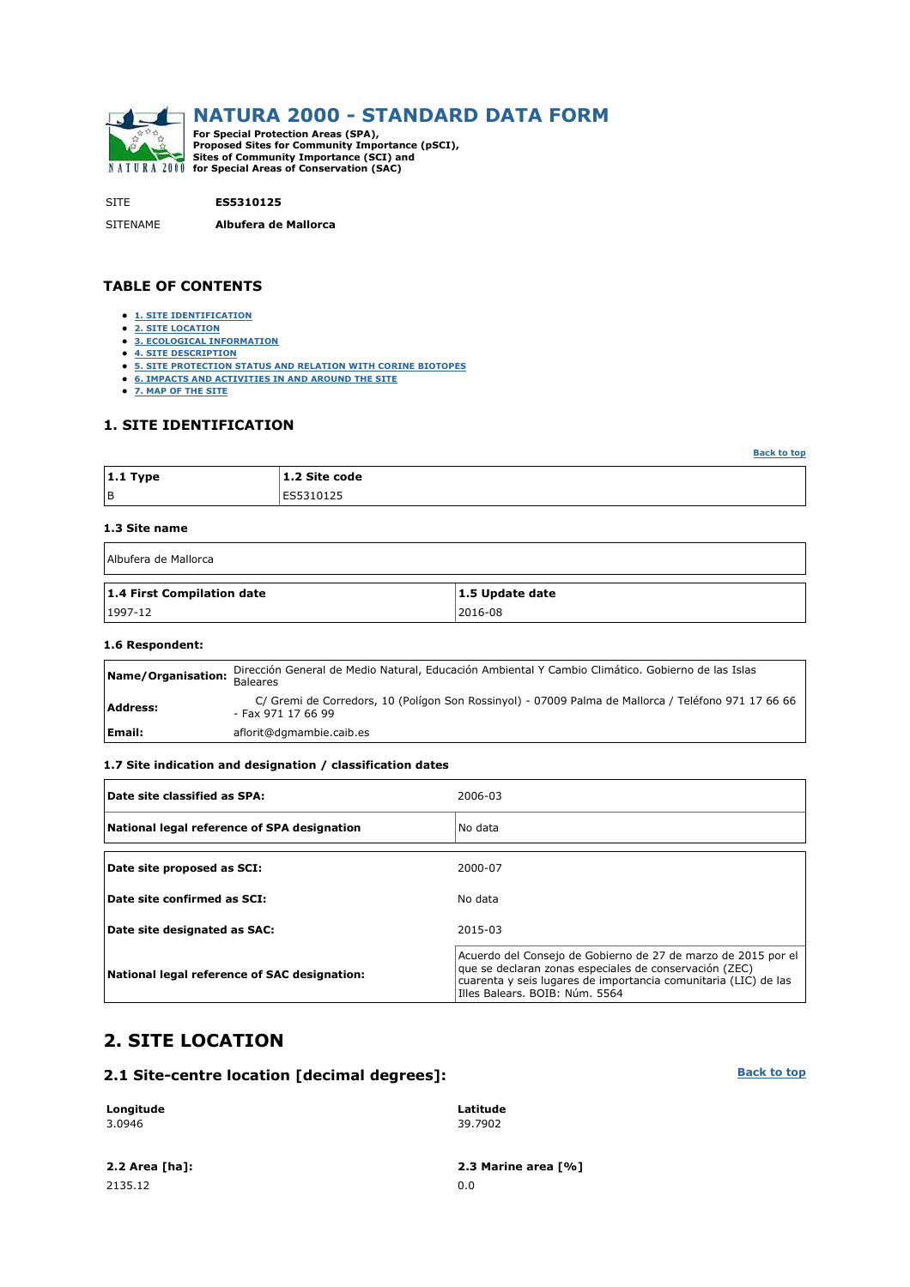

SITE **ES5310125**

SITENAME **Albufera de Mallorca**

#### **TABLE OF CONTENTS**

- **1. SITE IDENTIFICATION**
- **2. SITE LOCATION**
- **3. ECOLOGICAL INFORMATION 4. SITE DESCRIPTION**
- **5. SITE PROTECTION STATUS AND RELATION WITH CORINE BIOTOPES**
- **6. IMPACTS AND ACTIVITIES IN AND AROUND THE SITE**
- **7. MAP OF THE SITE**

### **1. SITE IDENTIFICATION**

| $ 1.1$ Type | 1.2 Site code |
|-------------|---------------|
| l B         | ES5310125     |

#### **1.3 Site name**

| Albufera de Mallorca       |                 |  |  |  |  |  |  |  |  |
|----------------------------|-----------------|--|--|--|--|--|--|--|--|
| 1.4 First Compilation date | 1.5 Update date |  |  |  |  |  |  |  |  |
| $1997-12$                  | 2016-08         |  |  |  |  |  |  |  |  |

#### **1.6 Respondent:**

| Name/Organisation: | Dirección General de Medio Natural, Educación Ambiental Y Cambio Climático. Gobierno de las Islas<br><b>Baleares</b>      |
|--------------------|---------------------------------------------------------------------------------------------------------------------------|
| Address:           | C/ Gremi de Corredors, 10 (Polígon Son Rossinyol) - 07009 Palma de Mallorca / Teléfono 971 17 66 66<br>- Fax 971 17 66 99 |
| Email:             | aflorit@dgmambie.caib.es                                                                                                  |

#### **1.7 Site indication and designation / classification dates**

| Date site classified as SPA:                 | 2006-03                                                                                                                                                                                                                      |
|----------------------------------------------|------------------------------------------------------------------------------------------------------------------------------------------------------------------------------------------------------------------------------|
| National legal reference of SPA designation  | No data                                                                                                                                                                                                                      |
| Date site proposed as SCI:                   | 2000-07                                                                                                                                                                                                                      |
| Date site confirmed as SCI:                  | No data                                                                                                                                                                                                                      |
| Date site designated as SAC:                 | 2015-03                                                                                                                                                                                                                      |
| National legal reference of SAC designation: | Acuerdo del Consejo de Gobierno de 27 de marzo de 2015 por el<br>que se declaran zonas especiales de conservación (ZEC)<br>cuarenta y seis lugares de importancia comunitaria (LIC) de las<br>Illes Balears, BOIB: Núm. 5564 |

# **2. SITE LOCATION**

#### **2.1 Site-centre location [decimal degrees]:**

| Longitude      | Latitude            |
|----------------|---------------------|
| 3.0946         | 39.7902             |
| 2.2 Area [ha]: | 2.3 Marine area [%] |

2135.12 0.0

**Back to top**

**Back to top**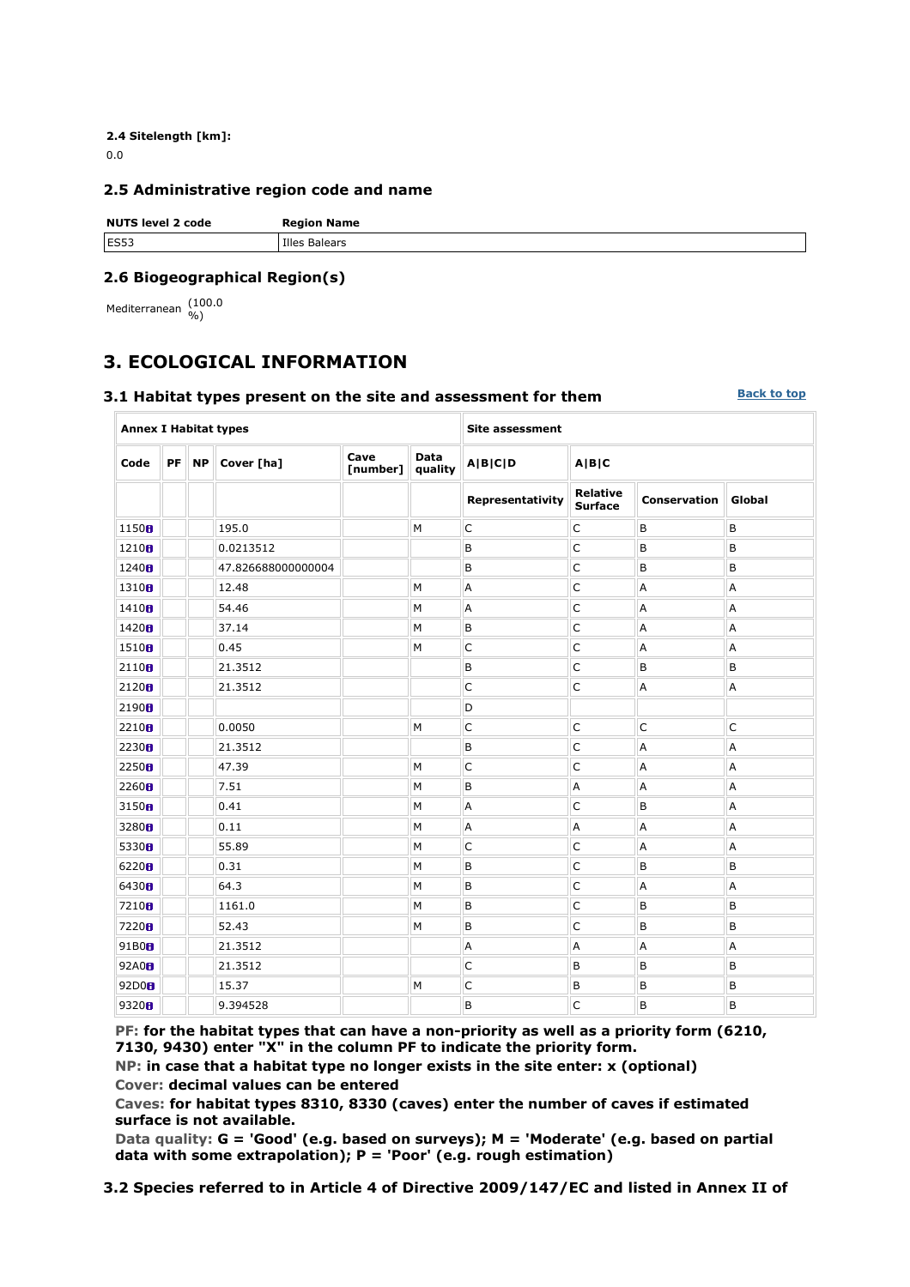**2.4 Sitelength [km]:** 0.0

#### **2.5 Administrative region code and name**

| <b>NUTS level 2 code</b> | <b>Region Name</b>   |
|--------------------------|----------------------|
| ES53                     | <b>Illes Balears</b> |

### **2.6 Biogeographical Region(s)**

Mediterranean (100.0

# **3. ECOLOGICAL INFORMATION**

#### **3.1 Habitat types present on the site and assessment for them**

**Back to top**

| <b>Annex I Habitat types</b> |         |                    |                  |                 | <b>Site assessment</b> |                                   |                     |        |  |  |  |  |
|------------------------------|---------|--------------------|------------------|-----------------|------------------------|-----------------------------------|---------------------|--------|--|--|--|--|
| Code                         | $PF$ NP | Cover [ha]         | Cave<br>[number] | Data<br>quality | <b>A B C D</b>         | A B C                             |                     |        |  |  |  |  |
|                              |         |                    |                  |                 | Representativity       | <b>Relative</b><br><b>Surface</b> | <b>Conservation</b> | Global |  |  |  |  |
| 1150B                        |         | 195.0              |                  | M               | $\mathsf{C}$           | C                                 | B                   | B      |  |  |  |  |
| 1210 <sub>0</sub>            |         | 0.0213512          |                  |                 | B                      | $\mathsf{C}$                      | B                   | B      |  |  |  |  |
| 1240 <sub>0</sub>            |         | 47.826688000000004 |                  |                 | B                      | $\mathsf{C}$                      | B                   | B      |  |  |  |  |
| 1310 <sub>0</sub>            |         | 12.48              |                  | M               | A                      | $\mathsf{C}$                      | A                   | A      |  |  |  |  |
| 1410 <sub>0</sub>            |         | 54.46              |                  | M               | A                      | $\mathsf{C}$                      | A                   | A      |  |  |  |  |
| 1420 <sub>0</sub>            |         | 37.14              |                  | M               | B                      | $\mathsf{C}$                      | A                   | А      |  |  |  |  |
| 1510 <sub>0</sub>            |         | 0.45               |                  | M               | $\mathsf C$            | $\mathsf C$                       | Α                   | A      |  |  |  |  |
| 2110 <sub>0</sub>            |         | 21.3512            |                  |                 | B                      | $\mathsf{C}$                      | B                   | B      |  |  |  |  |
| 2120 <sub>0</sub>            |         | 21.3512            |                  |                 | $\mathsf{C}$           | $\mathsf C$                       | A                   | А      |  |  |  |  |
| 2190 <sub>0</sub>            |         |                    |                  |                 | D                      |                                   |                     |        |  |  |  |  |
| 2210 <sub>B</sub>            |         | 0.0050             |                  | M               | $\mathsf{C}$           | $\mathsf{C}$                      | C                   | C      |  |  |  |  |
| 2230H                        |         | 21.3512            |                  |                 | B                      | $\mathsf{C}$                      | A                   | A      |  |  |  |  |
| 2250B                        |         | 47.39              |                  | M               | $\mathsf{C}$           | $\mathsf{C}$                      | Α                   | A      |  |  |  |  |
| 2260 <sub>0</sub>            |         | 7.51               |                  | M               | B                      | A                                 | A                   | A      |  |  |  |  |
| 3150 <sub>0</sub>            |         | 0.41               |                  | M               | A                      | $\mathsf C$                       | B                   | A      |  |  |  |  |
| 3280 <sub>B</sub>            |         | 0.11               |                  | M               | A                      | A                                 | A                   | A      |  |  |  |  |
| 5330 <sub>0</sub>            |         | 55.89              |                  | M               | $\mathsf{C}$           | $\mathsf C$                       | A                   | А      |  |  |  |  |
| 6220 <sub>8</sub>            |         | 0.31               |                  | M               | B                      | $\mathsf{C}$                      | B                   | B      |  |  |  |  |
| 6430H                        |         | 64.3               |                  | M               | B                      | $\mathsf{C}$                      | Α                   | A      |  |  |  |  |
| 7210 <sub>8</sub>            |         | 1161.0             |                  | M               | B                      | $\mathsf{C}$                      | В                   | B      |  |  |  |  |
| 7220 <sub>8</sub>            |         | 52.43              |                  | M               | B                      | $\mathsf C$                       | B                   | B      |  |  |  |  |
| 91B0 <sub>B</sub>            |         | 21.3512            |                  |                 | A                      | A                                 | A                   | A      |  |  |  |  |
| 92A0 <sub>B</sub>            |         | 21.3512            |                  |                 | $\mathsf{C}$           | B                                 | B                   | B      |  |  |  |  |
| 92D0H                        |         | 15.37              |                  | M               | $\mathsf C$            | B                                 | B                   | B      |  |  |  |  |
| 9320 <sub>8</sub>            |         | 9.394528           |                  |                 | B                      | $\mathsf{C}$                      | B                   | B      |  |  |  |  |

**PF: for the habitat types that can have a non-priority as well as a priority form (6210, 7130, 9430) enter "X" in the column PF to indicate the priority form.** 

**NP: in case that a habitat type no longer exists in the site enter: x (optional) Cover: decimal values can be entered** 

**Caves: for habitat types 8310, 8330 (caves) enter the number of caves if estimated surface is not available.** 

**Data quality: G = 'Good' (e.g. based on surveys); M = 'Moderate' (e.g. based on partial data with some extrapolation); P = 'Poor' (e.g. rough estimation)** 

**3.2 Species referred to in Article 4 of Directive 2009/147/EC and listed in Annex II of**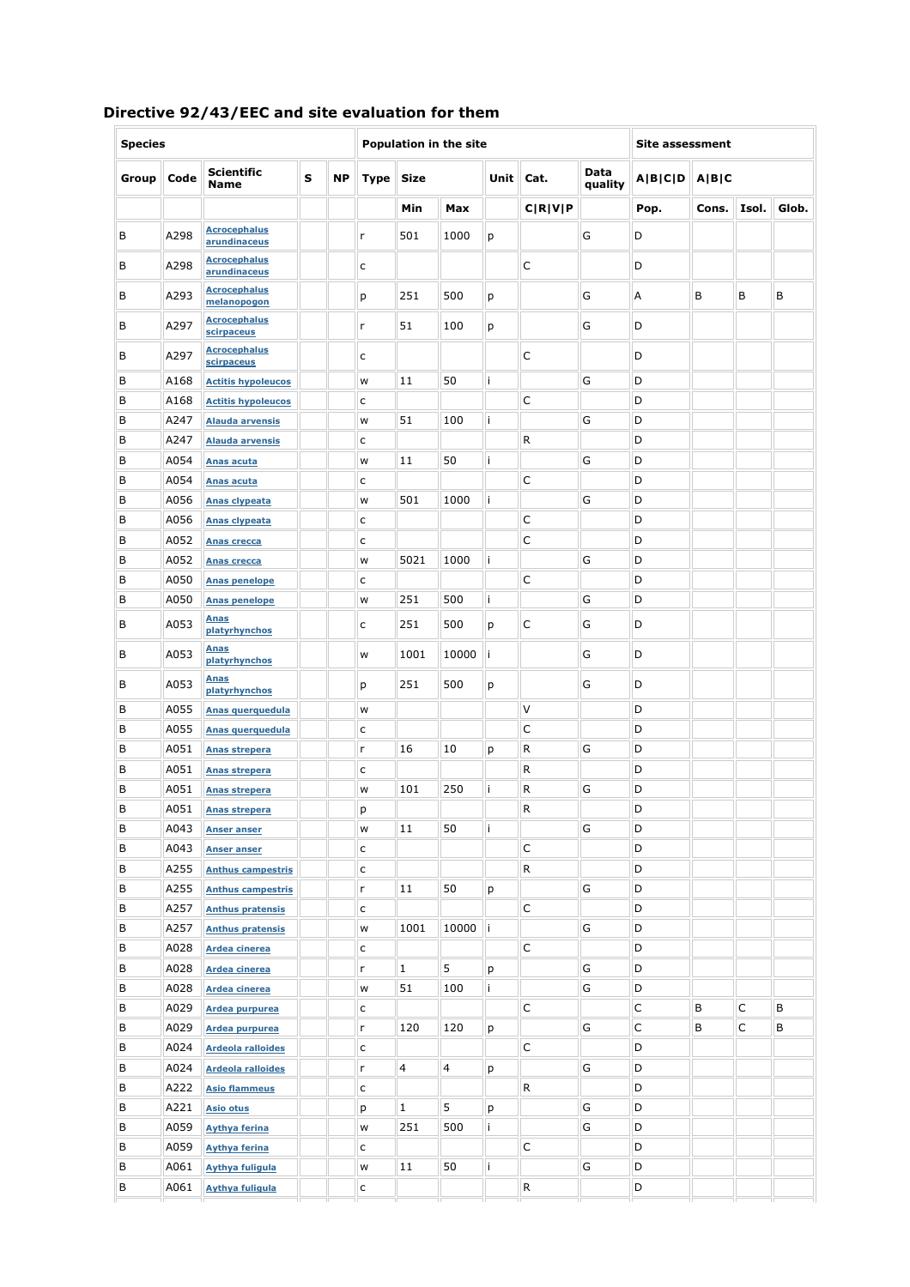| <b>Species</b> |                                                            |                                     |  |  |        |                | Population in the site |             | <b>Site assessment</b>    |                 |         |       |       |       |
|----------------|------------------------------------------------------------|-------------------------------------|--|--|--------|----------------|------------------------|-------------|---------------------------|-----------------|---------|-------|-------|-------|
| Group          | <b>Scientific</b><br>s<br><b>NP</b><br>Code<br><b>Name</b> |                                     |  |  |        | Size           |                        | <b>Unit</b> | Cat.                      | Data<br>quality | A B C D | A B C |       |       |
|                |                                                            |                                     |  |  |        | Min            | Max                    |             | C[ <b>R</b> ] <b>V</b> ]P |                 | Pop.    | Cons. | Isol. | Glob. |
| В              | A298                                                       | <b>Acrocephalus</b><br>arundinaceus |  |  | r      | 501            | 1000                   | р           |                           | G               | D       |       |       |       |
| В              | A298                                                       | <b>Acrocephalus</b><br>arundinaceus |  |  | C      |                |                        |             | C                         |                 | D       |       |       |       |
| В              | A293                                                       | <b>Acrocephalus</b><br>melanopogon  |  |  | p      | 251            | 500                    | р           |                           | G               | Α       | В     | В     | В     |
| В              | A297                                                       | <b>Acrocephalus</b><br>scirpaceus   |  |  | r      | 51             | 100                    | р           |                           | G               | D       |       |       |       |
| В              | A297                                                       | <b>Acrocephalus</b><br>scirpaceus   |  |  | c      |                |                        |             | С                         |                 | D       |       |       |       |
| B              | A168                                                       | <b>Actitis hypoleucos</b>           |  |  | W      | 11             | 50                     | i           |                           | G               | D       |       |       |       |
| B              | A168                                                       | <b>Actitis hypoleucos</b>           |  |  | с      |                |                        |             | C                         |                 | D       |       |       |       |
| B              | A247                                                       | <b>Alauda arvensis</b>              |  |  | W      | 51             | 100                    | i.          |                           | G               | D       |       |       |       |
| B              | A247                                                       | <b>Alauda arvensis</b>              |  |  | c      |                |                        |             | R                         |                 | D       |       |       |       |
| В              | A054                                                       | Anas acuta                          |  |  | W      | 11             | 50                     | i           |                           | G               | D       |       |       |       |
| B              | A054                                                       | <b>Anas acuta</b>                   |  |  | c      |                |                        |             | C                         |                 | D       |       |       |       |
| B              | A056                                                       | Anas clypeata                       |  |  | W      | 501            | 1000                   | i           |                           | G               | D       |       |       |       |
| В              | A056                                                       | <b>Anas clypeata</b>                |  |  | c      |                |                        |             | С                         |                 | D       |       |       |       |
| B              | A052                                                       | <b>Anas crecca</b>                  |  |  | c      |                |                        |             | C                         |                 | D       |       |       |       |
| B              | A052                                                       | <b>Anas crecca</b>                  |  |  | W      | 5021           | 1000                   | i.          |                           | G               | D       |       |       |       |
| В              | A050                                                       |                                     |  |  |        |                |                        |             | C                         |                 | D       |       |       |       |
| B              | A050                                                       | <b>Anas penelope</b>                |  |  | c<br>W | 251            | 500                    | i.          |                           | G               | D       |       |       |       |
| B              | A053                                                       | <b>Anas penelope</b><br><b>Anas</b> |  |  |        | 251            | 500                    |             |                           | G               | D       |       |       |       |
|                |                                                            | platyrhynchos<br><b>Anas</b>        |  |  | с      |                |                        | p           | С                         |                 |         |       |       |       |
| B              | A053                                                       | platyrhynchos<br><b>Anas</b>        |  |  | W      | 1001           | 10000                  | j.          |                           | G               | D       |       |       |       |
| В              | A053                                                       | platyrhynchos                       |  |  | p      | 251            | 500                    | p           |                           | G               | D       |       |       |       |
| B              | A055                                                       | Anas querquedula                    |  |  | W      |                |                        |             | V                         |                 | D       |       |       |       |
| B              | A055                                                       | Anas querquedula                    |  |  | c      |                |                        |             | C                         |                 | D       |       |       |       |
| В              | A051                                                       | Anas strepera                       |  |  | r      | 16             | 10                     | р           | R                         | G               | D       |       |       |       |
| B              | A051                                                       | <b>Anas strepera</b>                |  |  | С      |                |                        |             | R                         |                 | D       |       |       |       |
| B              | A051                                                       | Anas strepera                       |  |  | W      | 101            | 250                    | i.          | R                         | G               | D       |       |       |       |
| В              | A051                                                       | <b>Anas strepera</b>                |  |  | p      |                |                        |             | R                         |                 | D       |       |       |       |
| В              | A043                                                       | <b>Anser anser</b>                  |  |  | W      | 11             | 50                     | i.          |                           | G               | D       |       |       |       |
| В              | A043                                                       | <b>Anser anser</b>                  |  |  | c      |                |                        |             | С                         |                 | D       |       |       |       |
| В              | A255                                                       | <b>Anthus campestris</b>            |  |  | с      |                |                        |             | R                         |                 | D       |       |       |       |
| В              | A255                                                       | <b>Anthus campestris</b>            |  |  | r.     | 11             | 50                     | р           |                           | G               | D       |       |       |       |
| В              | A257                                                       | <b>Anthus pratensis</b>             |  |  | C      |                |                        |             | С                         |                 | D       |       |       |       |
| В              | A257                                                       | <b>Anthus pratensis</b>             |  |  | W      | 1001           | 10000                  | İ.          |                           | G               | D       |       |       |       |
| В              | A028                                                       | Ardea cinerea                       |  |  | c      |                |                        |             | C                         |                 | D       |       |       |       |
| В              | A028                                                       | Ardea cinerea                       |  |  | r      | $\mathbf{1}$   | 5                      | р           |                           | G               | D       |       |       |       |
| В              | A028                                                       | <b>Ardea cinerea</b>                |  |  | W      | 51             | 100                    | i.          |                           | G               | D       |       |       |       |
| В              | A029                                                       | Ardea purpurea                      |  |  | с      |                |                        |             | C                         |                 | C       | В     | С     | В     |
| В              | A029                                                       | Ardea purpurea                      |  |  | r      | 120            | 120                    | р           |                           | G               | C       | В     | C     | В     |
| В              | A024                                                       | <b>Ardeola ralloides</b>            |  |  | c      |                |                        |             | C                         |                 | D       |       |       |       |
| В              | A024                                                       | <b>Ardeola ralloides</b>            |  |  | r      | $\overline{4}$ | 4                      | р           |                           | G               | D       |       |       |       |
| В              | A222                                                       | <b>Asio flammeus</b>                |  |  | с      |                |                        |             | R                         |                 | D       |       |       |       |
| В              | A221                                                       |                                     |  |  |        | $\mathbf{1}$   | 5                      |             |                           | G               | D       |       |       |       |
| В              | A059                                                       | <b>Asio otus</b>                    |  |  | p      | 251            | 500                    | р<br>i.     |                           | G               | D       |       |       |       |
|                |                                                            | <b>Aythya ferina</b>                |  |  | W      |                |                        |             |                           |                 |         |       |       |       |
| В              | A059                                                       | <b>Aythya ferina</b>                |  |  | с      |                |                        |             | С                         |                 | D       |       |       |       |
| В              | A061                                                       | <b>Aythya fuligula</b>              |  |  | W      | $11\,$         | 50                     | i.          |                           | G               | D       |       |       |       |
| В              | A061                                                       | <b>Aythya fuliqula</b>              |  |  | C      |                |                        |             | R                         |                 | D       |       |       |       |

# **Directive 92/43/EEC and site evaluation for them**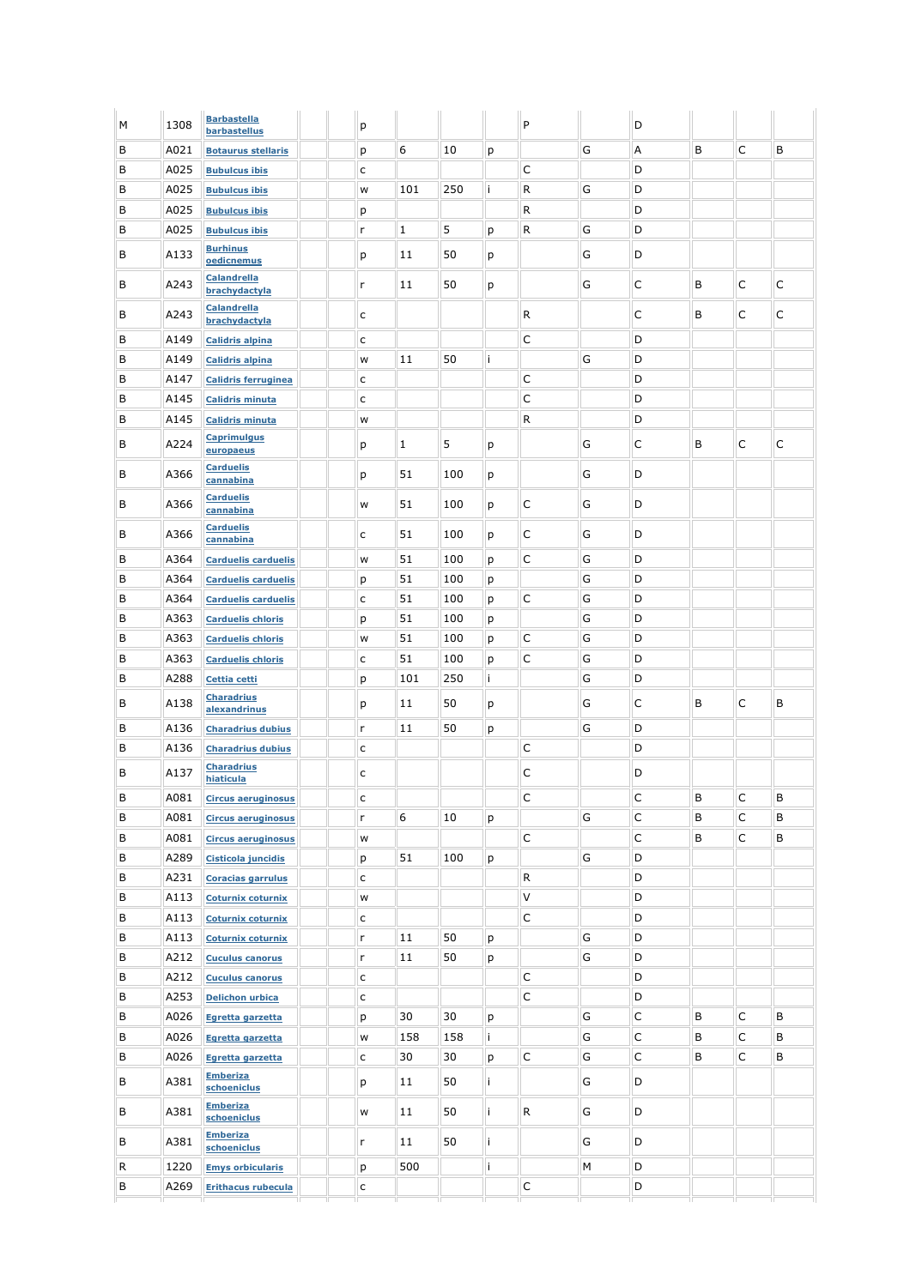| B<br>Α<br>C<br>B<br>6<br>G<br>B<br>A021<br>10<br><b>Botaurus stellaris</b><br>р<br>р<br>С<br>B<br>A025<br>D<br>c<br><b>Bubulcus ibis</b><br>В<br>250<br>R<br>G<br>D<br>A025<br>101<br>İ.<br>W<br><b>Bubulcus ibis</b><br>B<br>R<br>D<br>A025<br><b>Bubulcus ibis</b><br>p<br>5<br>G<br>D<br>B<br>A025<br>$\mathbf{1}$<br>R<br>r<br>p<br><b>Bubulcus ibis</b><br><b>Burhinus</b><br>B<br>A133<br>50<br>G<br>D<br>11<br>p<br>p<br>oedicnemus<br><b>Calandrella</b><br>G<br>С<br>C<br>C<br>В<br>A243<br>11<br>50<br>B<br>r<br>p<br>brachydactyla<br><b>Calandrella</b><br>С<br>C<br>В<br>R<br>В<br>C<br>A243<br>c<br>brachydactyla<br>С<br>D<br>B<br>A149<br>с<br><b>Calidris alpina</b><br>G<br>D<br>В<br>50<br>A149<br>11<br>i<br>W<br><b>Calidris alpina</b><br>В<br>С<br>D<br>A147<br>c<br><b>Calidris ferruginea</b><br>C<br>D<br>B<br>A145<br>c<br><b>Calidris minuta</b><br>В<br>R<br>D<br>A145<br>W<br><b>Calidris minuta</b><br><b>Caprimulgus</b><br>C<br>В<br>С<br>A224<br>1<br>5<br>G<br>В<br>С<br>p<br>р<br>europaeus<br><b>Carduelis</b><br>G<br>В<br>A366<br>51<br>D<br>100<br>р<br>p<br>cannabina<br><b>Carduelis</b><br>B<br>A366<br>51<br>С<br>G<br>D<br>100<br>W<br>p<br>cannabina<br><b>Carduelis</b><br>51<br>С<br>G<br>D<br>В<br>A366<br>100<br>с<br>p<br>cannabina<br>G<br>B<br>51<br>C<br>D<br>A364<br>100<br>р<br><b>Carduelis carduelis</b><br>W<br>G<br>D<br>В<br>A364<br>51<br>100<br>р<br>р<br><b>Carduelis carduelis</b><br>С<br>G<br>D<br>В<br>A364<br>51<br>100<br>c<br>p<br><b>Carduelis carduelis</b><br>G<br>B<br>A363<br>51<br>D<br>100<br>p<br><b>Carduelis chloris</b><br>p<br>В<br>A363<br>51<br>C<br>G<br>D<br>100<br>W<br>р<br><b>Carduelis chloris</b><br>G<br>В<br>A363<br>51<br>C<br>D<br>100<br>c<br>p<br><b>Carduelis chloris</b><br>G<br>B<br>A288<br>101<br>250<br>i.<br>D<br>p<br>Cettia cetti<br><b>Charadrius</b><br>С<br>В<br>50<br>G<br>B<br>C<br>В<br>A138<br>11<br>p<br>р<br>alexandrinus<br>G<br>D<br>В<br>50<br>A136<br>r<br>11<br>р<br><b>Charadrius dubius</b><br>B<br>D<br>С<br>A136<br><b>Charadrius dubius</b><br>c<br><b>Charadrius</b><br>B<br>C<br>D<br>A137<br>c<br>hiaticula<br>$\mathsf C$<br>С<br>$\mathsf C$<br>В<br>A081<br>В<br>В<br>с<br><b>Circus aeruginosus</b><br>C<br>C<br>G<br>B<br>В<br>6<br>10<br>В<br>A081<br>r<br>р<br><b>Circus aeruginosus</b><br>C<br>C<br>В<br>С<br>В<br>B<br>A081<br><b>Circus aeruginosus</b><br>W<br>В<br>D<br>A289<br>51<br>100<br>G<br>р<br><b>Cisticola juncidis</b><br>р<br>D<br>В<br>A231<br>R<br>c<br><b>Coracias garrulus</b><br>$\vee$<br>B<br>D<br>A113<br><b>Coturnix coturnix</b><br>W<br>C<br>B<br>D<br>A113<br>с<br><b>Coturnix coturnix</b><br>G<br>D<br>В<br>A113<br>11<br>50<br>r<br>р<br><b>Coturnix coturnix</b><br>В<br>G<br>D<br>A212<br>11<br>50<br>r<br>р<br><b>Cuculus canorus</b><br>С<br>D<br>В<br>A212<br>С<br><b>Cuculus canorus</b><br>В<br>A253<br>C<br>D<br>c<br><b>Delichon urbica</b><br>C<br>B<br>G<br>C<br>A026<br>30<br>В<br>В<br>30<br>Egretta garzetta<br>p<br>р<br>C<br>C<br>В<br>G<br>В<br>B<br>158<br>A026<br>158<br>i.<br>W<br>Egretta garzetta<br>C<br>$\mathsf{C}$<br>G<br>В<br>B<br>В<br>A026<br>30<br>C<br>30<br>р<br>c<br>Egretta garzetta<br><b>Emberiza</b><br>В<br>A381<br>50<br>i.<br>G<br>D<br>11<br>р<br>schoeniclus<br><b>Emberiza</b><br>В<br>A381<br>11<br>50<br>i.<br>R<br>G<br>D<br>W<br>schoeniclus<br><b>Emberiza</b><br>В<br>A381<br>50<br>i.<br>G<br>D<br>11<br>r.<br>schoeniclus<br>D<br>R<br>500<br>i.<br>М<br>1220<br><b>Emys orbicularis</b><br>р<br>В<br>$\mathsf C$<br>D<br>A269<br><b>Erithacus rubecula</b><br>c | М | 1308 | <b>Barbastella</b><br>barbastellus | p |  | P | D |  |  |
|----------------------------------------------------------------------------------------------------------------------------------------------------------------------------------------------------------------------------------------------------------------------------------------------------------------------------------------------------------------------------------------------------------------------------------------------------------------------------------------------------------------------------------------------------------------------------------------------------------------------------------------------------------------------------------------------------------------------------------------------------------------------------------------------------------------------------------------------------------------------------------------------------------------------------------------------------------------------------------------------------------------------------------------------------------------------------------------------------------------------------------------------------------------------------------------------------------------------------------------------------------------------------------------------------------------------------------------------------------------------------------------------------------------------------------------------------------------------------------------------------------------------------------------------------------------------------------------------------------------------------------------------------------------------------------------------------------------------------------------------------------------------------------------------------------------------------------------------------------------------------------------------------------------------------------------------------------------------------------------------------------------------------------------------------------------------------------------------------------------------------------------------------------------------------------------------------------------------------------------------------------------------------------------------------------------------------------------------------------------------------------------------------------------------------------------------------------------------------------------------------------------------------------------------------------------------------------------------------------------------------------------------------------------------------------------------------------------------------------------------------------------------------------------------------------------------------------------------------------------------------------------------------------------------------------------------------------------------------------------------------------------------------------------------------------------------------------------------------------------------------------------------------------------------------------------------------------------------------------------------------------------------------------------------------------------------------------------------------------------------------------------------------------------------------------------------------------------------------------------------------------------------------------------------------------------------------------------------|---|------|------------------------------------|---|--|---|---|--|--|
|                                                                                                                                                                                                                                                                                                                                                                                                                                                                                                                                                                                                                                                                                                                                                                                                                                                                                                                                                                                                                                                                                                                                                                                                                                                                                                                                                                                                                                                                                                                                                                                                                                                                                                                                                                                                                                                                                                                                                                                                                                                                                                                                                                                                                                                                                                                                                                                                                                                                                                                                                                                                                                                                                                                                                                                                                                                                                                                                                                                                                                                                                                                                                                                                                                                                                                                                                                                                                                                                                                                                                                                              |   |      |                                    |   |  |   |   |  |  |
|                                                                                                                                                                                                                                                                                                                                                                                                                                                                                                                                                                                                                                                                                                                                                                                                                                                                                                                                                                                                                                                                                                                                                                                                                                                                                                                                                                                                                                                                                                                                                                                                                                                                                                                                                                                                                                                                                                                                                                                                                                                                                                                                                                                                                                                                                                                                                                                                                                                                                                                                                                                                                                                                                                                                                                                                                                                                                                                                                                                                                                                                                                                                                                                                                                                                                                                                                                                                                                                                                                                                                                                              |   |      |                                    |   |  |   |   |  |  |
|                                                                                                                                                                                                                                                                                                                                                                                                                                                                                                                                                                                                                                                                                                                                                                                                                                                                                                                                                                                                                                                                                                                                                                                                                                                                                                                                                                                                                                                                                                                                                                                                                                                                                                                                                                                                                                                                                                                                                                                                                                                                                                                                                                                                                                                                                                                                                                                                                                                                                                                                                                                                                                                                                                                                                                                                                                                                                                                                                                                                                                                                                                                                                                                                                                                                                                                                                                                                                                                                                                                                                                                              |   |      |                                    |   |  |   |   |  |  |
|                                                                                                                                                                                                                                                                                                                                                                                                                                                                                                                                                                                                                                                                                                                                                                                                                                                                                                                                                                                                                                                                                                                                                                                                                                                                                                                                                                                                                                                                                                                                                                                                                                                                                                                                                                                                                                                                                                                                                                                                                                                                                                                                                                                                                                                                                                                                                                                                                                                                                                                                                                                                                                                                                                                                                                                                                                                                                                                                                                                                                                                                                                                                                                                                                                                                                                                                                                                                                                                                                                                                                                                              |   |      |                                    |   |  |   |   |  |  |
|                                                                                                                                                                                                                                                                                                                                                                                                                                                                                                                                                                                                                                                                                                                                                                                                                                                                                                                                                                                                                                                                                                                                                                                                                                                                                                                                                                                                                                                                                                                                                                                                                                                                                                                                                                                                                                                                                                                                                                                                                                                                                                                                                                                                                                                                                                                                                                                                                                                                                                                                                                                                                                                                                                                                                                                                                                                                                                                                                                                                                                                                                                                                                                                                                                                                                                                                                                                                                                                                                                                                                                                              |   |      |                                    |   |  |   |   |  |  |
|                                                                                                                                                                                                                                                                                                                                                                                                                                                                                                                                                                                                                                                                                                                                                                                                                                                                                                                                                                                                                                                                                                                                                                                                                                                                                                                                                                                                                                                                                                                                                                                                                                                                                                                                                                                                                                                                                                                                                                                                                                                                                                                                                                                                                                                                                                                                                                                                                                                                                                                                                                                                                                                                                                                                                                                                                                                                                                                                                                                                                                                                                                                                                                                                                                                                                                                                                                                                                                                                                                                                                                                              |   |      |                                    |   |  |   |   |  |  |
|                                                                                                                                                                                                                                                                                                                                                                                                                                                                                                                                                                                                                                                                                                                                                                                                                                                                                                                                                                                                                                                                                                                                                                                                                                                                                                                                                                                                                                                                                                                                                                                                                                                                                                                                                                                                                                                                                                                                                                                                                                                                                                                                                                                                                                                                                                                                                                                                                                                                                                                                                                                                                                                                                                                                                                                                                                                                                                                                                                                                                                                                                                                                                                                                                                                                                                                                                                                                                                                                                                                                                                                              |   |      |                                    |   |  |   |   |  |  |
|                                                                                                                                                                                                                                                                                                                                                                                                                                                                                                                                                                                                                                                                                                                                                                                                                                                                                                                                                                                                                                                                                                                                                                                                                                                                                                                                                                                                                                                                                                                                                                                                                                                                                                                                                                                                                                                                                                                                                                                                                                                                                                                                                                                                                                                                                                                                                                                                                                                                                                                                                                                                                                                                                                                                                                                                                                                                                                                                                                                                                                                                                                                                                                                                                                                                                                                                                                                                                                                                                                                                                                                              |   |      |                                    |   |  |   |   |  |  |
|                                                                                                                                                                                                                                                                                                                                                                                                                                                                                                                                                                                                                                                                                                                                                                                                                                                                                                                                                                                                                                                                                                                                                                                                                                                                                                                                                                                                                                                                                                                                                                                                                                                                                                                                                                                                                                                                                                                                                                                                                                                                                                                                                                                                                                                                                                                                                                                                                                                                                                                                                                                                                                                                                                                                                                                                                                                                                                                                                                                                                                                                                                                                                                                                                                                                                                                                                                                                                                                                                                                                                                                              |   |      |                                    |   |  |   |   |  |  |
|                                                                                                                                                                                                                                                                                                                                                                                                                                                                                                                                                                                                                                                                                                                                                                                                                                                                                                                                                                                                                                                                                                                                                                                                                                                                                                                                                                                                                                                                                                                                                                                                                                                                                                                                                                                                                                                                                                                                                                                                                                                                                                                                                                                                                                                                                                                                                                                                                                                                                                                                                                                                                                                                                                                                                                                                                                                                                                                                                                                                                                                                                                                                                                                                                                                                                                                                                                                                                                                                                                                                                                                              |   |      |                                    |   |  |   |   |  |  |
|                                                                                                                                                                                                                                                                                                                                                                                                                                                                                                                                                                                                                                                                                                                                                                                                                                                                                                                                                                                                                                                                                                                                                                                                                                                                                                                                                                                                                                                                                                                                                                                                                                                                                                                                                                                                                                                                                                                                                                                                                                                                                                                                                                                                                                                                                                                                                                                                                                                                                                                                                                                                                                                                                                                                                                                                                                                                                                                                                                                                                                                                                                                                                                                                                                                                                                                                                                                                                                                                                                                                                                                              |   |      |                                    |   |  |   |   |  |  |
|                                                                                                                                                                                                                                                                                                                                                                                                                                                                                                                                                                                                                                                                                                                                                                                                                                                                                                                                                                                                                                                                                                                                                                                                                                                                                                                                                                                                                                                                                                                                                                                                                                                                                                                                                                                                                                                                                                                                                                                                                                                                                                                                                                                                                                                                                                                                                                                                                                                                                                                                                                                                                                                                                                                                                                                                                                                                                                                                                                                                                                                                                                                                                                                                                                                                                                                                                                                                                                                                                                                                                                                              |   |      |                                    |   |  |   |   |  |  |
|                                                                                                                                                                                                                                                                                                                                                                                                                                                                                                                                                                                                                                                                                                                                                                                                                                                                                                                                                                                                                                                                                                                                                                                                                                                                                                                                                                                                                                                                                                                                                                                                                                                                                                                                                                                                                                                                                                                                                                                                                                                                                                                                                                                                                                                                                                                                                                                                                                                                                                                                                                                                                                                                                                                                                                                                                                                                                                                                                                                                                                                                                                                                                                                                                                                                                                                                                                                                                                                                                                                                                                                              |   |      |                                    |   |  |   |   |  |  |
|                                                                                                                                                                                                                                                                                                                                                                                                                                                                                                                                                                                                                                                                                                                                                                                                                                                                                                                                                                                                                                                                                                                                                                                                                                                                                                                                                                                                                                                                                                                                                                                                                                                                                                                                                                                                                                                                                                                                                                                                                                                                                                                                                                                                                                                                                                                                                                                                                                                                                                                                                                                                                                                                                                                                                                                                                                                                                                                                                                                                                                                                                                                                                                                                                                                                                                                                                                                                                                                                                                                                                                                              |   |      |                                    |   |  |   |   |  |  |
|                                                                                                                                                                                                                                                                                                                                                                                                                                                                                                                                                                                                                                                                                                                                                                                                                                                                                                                                                                                                                                                                                                                                                                                                                                                                                                                                                                                                                                                                                                                                                                                                                                                                                                                                                                                                                                                                                                                                                                                                                                                                                                                                                                                                                                                                                                                                                                                                                                                                                                                                                                                                                                                                                                                                                                                                                                                                                                                                                                                                                                                                                                                                                                                                                                                                                                                                                                                                                                                                                                                                                                                              |   |      |                                    |   |  |   |   |  |  |
|                                                                                                                                                                                                                                                                                                                                                                                                                                                                                                                                                                                                                                                                                                                                                                                                                                                                                                                                                                                                                                                                                                                                                                                                                                                                                                                                                                                                                                                                                                                                                                                                                                                                                                                                                                                                                                                                                                                                                                                                                                                                                                                                                                                                                                                                                                                                                                                                                                                                                                                                                                                                                                                                                                                                                                                                                                                                                                                                                                                                                                                                                                                                                                                                                                                                                                                                                                                                                                                                                                                                                                                              |   |      |                                    |   |  |   |   |  |  |
|                                                                                                                                                                                                                                                                                                                                                                                                                                                                                                                                                                                                                                                                                                                                                                                                                                                                                                                                                                                                                                                                                                                                                                                                                                                                                                                                                                                                                                                                                                                                                                                                                                                                                                                                                                                                                                                                                                                                                                                                                                                                                                                                                                                                                                                                                                                                                                                                                                                                                                                                                                                                                                                                                                                                                                                                                                                                                                                                                                                                                                                                                                                                                                                                                                                                                                                                                                                                                                                                                                                                                                                              |   |      |                                    |   |  |   |   |  |  |
|                                                                                                                                                                                                                                                                                                                                                                                                                                                                                                                                                                                                                                                                                                                                                                                                                                                                                                                                                                                                                                                                                                                                                                                                                                                                                                                                                                                                                                                                                                                                                                                                                                                                                                                                                                                                                                                                                                                                                                                                                                                                                                                                                                                                                                                                                                                                                                                                                                                                                                                                                                                                                                                                                                                                                                                                                                                                                                                                                                                                                                                                                                                                                                                                                                                                                                                                                                                                                                                                                                                                                                                              |   |      |                                    |   |  |   |   |  |  |
|                                                                                                                                                                                                                                                                                                                                                                                                                                                                                                                                                                                                                                                                                                                                                                                                                                                                                                                                                                                                                                                                                                                                                                                                                                                                                                                                                                                                                                                                                                                                                                                                                                                                                                                                                                                                                                                                                                                                                                                                                                                                                                                                                                                                                                                                                                                                                                                                                                                                                                                                                                                                                                                                                                                                                                                                                                                                                                                                                                                                                                                                                                                                                                                                                                                                                                                                                                                                                                                                                                                                                                                              |   |      |                                    |   |  |   |   |  |  |
|                                                                                                                                                                                                                                                                                                                                                                                                                                                                                                                                                                                                                                                                                                                                                                                                                                                                                                                                                                                                                                                                                                                                                                                                                                                                                                                                                                                                                                                                                                                                                                                                                                                                                                                                                                                                                                                                                                                                                                                                                                                                                                                                                                                                                                                                                                                                                                                                                                                                                                                                                                                                                                                                                                                                                                                                                                                                                                                                                                                                                                                                                                                                                                                                                                                                                                                                                                                                                                                                                                                                                                                              |   |      |                                    |   |  |   |   |  |  |
|                                                                                                                                                                                                                                                                                                                                                                                                                                                                                                                                                                                                                                                                                                                                                                                                                                                                                                                                                                                                                                                                                                                                                                                                                                                                                                                                                                                                                                                                                                                                                                                                                                                                                                                                                                                                                                                                                                                                                                                                                                                                                                                                                                                                                                                                                                                                                                                                                                                                                                                                                                                                                                                                                                                                                                                                                                                                                                                                                                                                                                                                                                                                                                                                                                                                                                                                                                                                                                                                                                                                                                                              |   |      |                                    |   |  |   |   |  |  |
|                                                                                                                                                                                                                                                                                                                                                                                                                                                                                                                                                                                                                                                                                                                                                                                                                                                                                                                                                                                                                                                                                                                                                                                                                                                                                                                                                                                                                                                                                                                                                                                                                                                                                                                                                                                                                                                                                                                                                                                                                                                                                                                                                                                                                                                                                                                                                                                                                                                                                                                                                                                                                                                                                                                                                                                                                                                                                                                                                                                                                                                                                                                                                                                                                                                                                                                                                                                                                                                                                                                                                                                              |   |      |                                    |   |  |   |   |  |  |
|                                                                                                                                                                                                                                                                                                                                                                                                                                                                                                                                                                                                                                                                                                                                                                                                                                                                                                                                                                                                                                                                                                                                                                                                                                                                                                                                                                                                                                                                                                                                                                                                                                                                                                                                                                                                                                                                                                                                                                                                                                                                                                                                                                                                                                                                                                                                                                                                                                                                                                                                                                                                                                                                                                                                                                                                                                                                                                                                                                                                                                                                                                                                                                                                                                                                                                                                                                                                                                                                                                                                                                                              |   |      |                                    |   |  |   |   |  |  |
|                                                                                                                                                                                                                                                                                                                                                                                                                                                                                                                                                                                                                                                                                                                                                                                                                                                                                                                                                                                                                                                                                                                                                                                                                                                                                                                                                                                                                                                                                                                                                                                                                                                                                                                                                                                                                                                                                                                                                                                                                                                                                                                                                                                                                                                                                                                                                                                                                                                                                                                                                                                                                                                                                                                                                                                                                                                                                                                                                                                                                                                                                                                                                                                                                                                                                                                                                                                                                                                                                                                                                                                              |   |      |                                    |   |  |   |   |  |  |
|                                                                                                                                                                                                                                                                                                                                                                                                                                                                                                                                                                                                                                                                                                                                                                                                                                                                                                                                                                                                                                                                                                                                                                                                                                                                                                                                                                                                                                                                                                                                                                                                                                                                                                                                                                                                                                                                                                                                                                                                                                                                                                                                                                                                                                                                                                                                                                                                                                                                                                                                                                                                                                                                                                                                                                                                                                                                                                                                                                                                                                                                                                                                                                                                                                                                                                                                                                                                                                                                                                                                                                                              |   |      |                                    |   |  |   |   |  |  |
|                                                                                                                                                                                                                                                                                                                                                                                                                                                                                                                                                                                                                                                                                                                                                                                                                                                                                                                                                                                                                                                                                                                                                                                                                                                                                                                                                                                                                                                                                                                                                                                                                                                                                                                                                                                                                                                                                                                                                                                                                                                                                                                                                                                                                                                                                                                                                                                                                                                                                                                                                                                                                                                                                                                                                                                                                                                                                                                                                                                                                                                                                                                                                                                                                                                                                                                                                                                                                                                                                                                                                                                              |   |      |                                    |   |  |   |   |  |  |
|                                                                                                                                                                                                                                                                                                                                                                                                                                                                                                                                                                                                                                                                                                                                                                                                                                                                                                                                                                                                                                                                                                                                                                                                                                                                                                                                                                                                                                                                                                                                                                                                                                                                                                                                                                                                                                                                                                                                                                                                                                                                                                                                                                                                                                                                                                                                                                                                                                                                                                                                                                                                                                                                                                                                                                                                                                                                                                                                                                                                                                                                                                                                                                                                                                                                                                                                                                                                                                                                                                                                                                                              |   |      |                                    |   |  |   |   |  |  |
|                                                                                                                                                                                                                                                                                                                                                                                                                                                                                                                                                                                                                                                                                                                                                                                                                                                                                                                                                                                                                                                                                                                                                                                                                                                                                                                                                                                                                                                                                                                                                                                                                                                                                                                                                                                                                                                                                                                                                                                                                                                                                                                                                                                                                                                                                                                                                                                                                                                                                                                                                                                                                                                                                                                                                                                                                                                                                                                                                                                                                                                                                                                                                                                                                                                                                                                                                                                                                                                                                                                                                                                              |   |      |                                    |   |  |   |   |  |  |
|                                                                                                                                                                                                                                                                                                                                                                                                                                                                                                                                                                                                                                                                                                                                                                                                                                                                                                                                                                                                                                                                                                                                                                                                                                                                                                                                                                                                                                                                                                                                                                                                                                                                                                                                                                                                                                                                                                                                                                                                                                                                                                                                                                                                                                                                                                                                                                                                                                                                                                                                                                                                                                                                                                                                                                                                                                                                                                                                                                                                                                                                                                                                                                                                                                                                                                                                                                                                                                                                                                                                                                                              |   |      |                                    |   |  |   |   |  |  |
|                                                                                                                                                                                                                                                                                                                                                                                                                                                                                                                                                                                                                                                                                                                                                                                                                                                                                                                                                                                                                                                                                                                                                                                                                                                                                                                                                                                                                                                                                                                                                                                                                                                                                                                                                                                                                                                                                                                                                                                                                                                                                                                                                                                                                                                                                                                                                                                                                                                                                                                                                                                                                                                                                                                                                                                                                                                                                                                                                                                                                                                                                                                                                                                                                                                                                                                                                                                                                                                                                                                                                                                              |   |      |                                    |   |  |   |   |  |  |
|                                                                                                                                                                                                                                                                                                                                                                                                                                                                                                                                                                                                                                                                                                                                                                                                                                                                                                                                                                                                                                                                                                                                                                                                                                                                                                                                                                                                                                                                                                                                                                                                                                                                                                                                                                                                                                                                                                                                                                                                                                                                                                                                                                                                                                                                                                                                                                                                                                                                                                                                                                                                                                                                                                                                                                                                                                                                                                                                                                                                                                                                                                                                                                                                                                                                                                                                                                                                                                                                                                                                                                                              |   |      |                                    |   |  |   |   |  |  |
|                                                                                                                                                                                                                                                                                                                                                                                                                                                                                                                                                                                                                                                                                                                                                                                                                                                                                                                                                                                                                                                                                                                                                                                                                                                                                                                                                                                                                                                                                                                                                                                                                                                                                                                                                                                                                                                                                                                                                                                                                                                                                                                                                                                                                                                                                                                                                                                                                                                                                                                                                                                                                                                                                                                                                                                                                                                                                                                                                                                                                                                                                                                                                                                                                                                                                                                                                                                                                                                                                                                                                                                              |   |      |                                    |   |  |   |   |  |  |
|                                                                                                                                                                                                                                                                                                                                                                                                                                                                                                                                                                                                                                                                                                                                                                                                                                                                                                                                                                                                                                                                                                                                                                                                                                                                                                                                                                                                                                                                                                                                                                                                                                                                                                                                                                                                                                                                                                                                                                                                                                                                                                                                                                                                                                                                                                                                                                                                                                                                                                                                                                                                                                                                                                                                                                                                                                                                                                                                                                                                                                                                                                                                                                                                                                                                                                                                                                                                                                                                                                                                                                                              |   |      |                                    |   |  |   |   |  |  |
|                                                                                                                                                                                                                                                                                                                                                                                                                                                                                                                                                                                                                                                                                                                                                                                                                                                                                                                                                                                                                                                                                                                                                                                                                                                                                                                                                                                                                                                                                                                                                                                                                                                                                                                                                                                                                                                                                                                                                                                                                                                                                                                                                                                                                                                                                                                                                                                                                                                                                                                                                                                                                                                                                                                                                                                                                                                                                                                                                                                                                                                                                                                                                                                                                                                                                                                                                                                                                                                                                                                                                                                              |   |      |                                    |   |  |   |   |  |  |
|                                                                                                                                                                                                                                                                                                                                                                                                                                                                                                                                                                                                                                                                                                                                                                                                                                                                                                                                                                                                                                                                                                                                                                                                                                                                                                                                                                                                                                                                                                                                                                                                                                                                                                                                                                                                                                                                                                                                                                                                                                                                                                                                                                                                                                                                                                                                                                                                                                                                                                                                                                                                                                                                                                                                                                                                                                                                                                                                                                                                                                                                                                                                                                                                                                                                                                                                                                                                                                                                                                                                                                                              |   |      |                                    |   |  |   |   |  |  |
|                                                                                                                                                                                                                                                                                                                                                                                                                                                                                                                                                                                                                                                                                                                                                                                                                                                                                                                                                                                                                                                                                                                                                                                                                                                                                                                                                                                                                                                                                                                                                                                                                                                                                                                                                                                                                                                                                                                                                                                                                                                                                                                                                                                                                                                                                                                                                                                                                                                                                                                                                                                                                                                                                                                                                                                                                                                                                                                                                                                                                                                                                                                                                                                                                                                                                                                                                                                                                                                                                                                                                                                              |   |      |                                    |   |  |   |   |  |  |
|                                                                                                                                                                                                                                                                                                                                                                                                                                                                                                                                                                                                                                                                                                                                                                                                                                                                                                                                                                                                                                                                                                                                                                                                                                                                                                                                                                                                                                                                                                                                                                                                                                                                                                                                                                                                                                                                                                                                                                                                                                                                                                                                                                                                                                                                                                                                                                                                                                                                                                                                                                                                                                                                                                                                                                                                                                                                                                                                                                                                                                                                                                                                                                                                                                                                                                                                                                                                                                                                                                                                                                                              |   |      |                                    |   |  |   |   |  |  |
|                                                                                                                                                                                                                                                                                                                                                                                                                                                                                                                                                                                                                                                                                                                                                                                                                                                                                                                                                                                                                                                                                                                                                                                                                                                                                                                                                                                                                                                                                                                                                                                                                                                                                                                                                                                                                                                                                                                                                                                                                                                                                                                                                                                                                                                                                                                                                                                                                                                                                                                                                                                                                                                                                                                                                                                                                                                                                                                                                                                                                                                                                                                                                                                                                                                                                                                                                                                                                                                                                                                                                                                              |   |      |                                    |   |  |   |   |  |  |
|                                                                                                                                                                                                                                                                                                                                                                                                                                                                                                                                                                                                                                                                                                                                                                                                                                                                                                                                                                                                                                                                                                                                                                                                                                                                                                                                                                                                                                                                                                                                                                                                                                                                                                                                                                                                                                                                                                                                                                                                                                                                                                                                                                                                                                                                                                                                                                                                                                                                                                                                                                                                                                                                                                                                                                                                                                                                                                                                                                                                                                                                                                                                                                                                                                                                                                                                                                                                                                                                                                                                                                                              |   |      |                                    |   |  |   |   |  |  |
|                                                                                                                                                                                                                                                                                                                                                                                                                                                                                                                                                                                                                                                                                                                                                                                                                                                                                                                                                                                                                                                                                                                                                                                                                                                                                                                                                                                                                                                                                                                                                                                                                                                                                                                                                                                                                                                                                                                                                                                                                                                                                                                                                                                                                                                                                                                                                                                                                                                                                                                                                                                                                                                                                                                                                                                                                                                                                                                                                                                                                                                                                                                                                                                                                                                                                                                                                                                                                                                                                                                                                                                              |   |      |                                    |   |  |   |   |  |  |
|                                                                                                                                                                                                                                                                                                                                                                                                                                                                                                                                                                                                                                                                                                                                                                                                                                                                                                                                                                                                                                                                                                                                                                                                                                                                                                                                                                                                                                                                                                                                                                                                                                                                                                                                                                                                                                                                                                                                                                                                                                                                                                                                                                                                                                                                                                                                                                                                                                                                                                                                                                                                                                                                                                                                                                                                                                                                                                                                                                                                                                                                                                                                                                                                                                                                                                                                                                                                                                                                                                                                                                                              |   |      |                                    |   |  |   |   |  |  |
|                                                                                                                                                                                                                                                                                                                                                                                                                                                                                                                                                                                                                                                                                                                                                                                                                                                                                                                                                                                                                                                                                                                                                                                                                                                                                                                                                                                                                                                                                                                                                                                                                                                                                                                                                                                                                                                                                                                                                                                                                                                                                                                                                                                                                                                                                                                                                                                                                                                                                                                                                                                                                                                                                                                                                                                                                                                                                                                                                                                                                                                                                                                                                                                                                                                                                                                                                                                                                                                                                                                                                                                              |   |      |                                    |   |  |   |   |  |  |
|                                                                                                                                                                                                                                                                                                                                                                                                                                                                                                                                                                                                                                                                                                                                                                                                                                                                                                                                                                                                                                                                                                                                                                                                                                                                                                                                                                                                                                                                                                                                                                                                                                                                                                                                                                                                                                                                                                                                                                                                                                                                                                                                                                                                                                                                                                                                                                                                                                                                                                                                                                                                                                                                                                                                                                                                                                                                                                                                                                                                                                                                                                                                                                                                                                                                                                                                                                                                                                                                                                                                                                                              |   |      |                                    |   |  |   |   |  |  |
|                                                                                                                                                                                                                                                                                                                                                                                                                                                                                                                                                                                                                                                                                                                                                                                                                                                                                                                                                                                                                                                                                                                                                                                                                                                                                                                                                                                                                                                                                                                                                                                                                                                                                                                                                                                                                                                                                                                                                                                                                                                                                                                                                                                                                                                                                                                                                                                                                                                                                                                                                                                                                                                                                                                                                                                                                                                                                                                                                                                                                                                                                                                                                                                                                                                                                                                                                                                                                                                                                                                                                                                              |   |      |                                    |   |  |   |   |  |  |
|                                                                                                                                                                                                                                                                                                                                                                                                                                                                                                                                                                                                                                                                                                                                                                                                                                                                                                                                                                                                                                                                                                                                                                                                                                                                                                                                                                                                                                                                                                                                                                                                                                                                                                                                                                                                                                                                                                                                                                                                                                                                                                                                                                                                                                                                                                                                                                                                                                                                                                                                                                                                                                                                                                                                                                                                                                                                                                                                                                                                                                                                                                                                                                                                                                                                                                                                                                                                                                                                                                                                                                                              |   |      |                                    |   |  |   |   |  |  |
|                                                                                                                                                                                                                                                                                                                                                                                                                                                                                                                                                                                                                                                                                                                                                                                                                                                                                                                                                                                                                                                                                                                                                                                                                                                                                                                                                                                                                                                                                                                                                                                                                                                                                                                                                                                                                                                                                                                                                                                                                                                                                                                                                                                                                                                                                                                                                                                                                                                                                                                                                                                                                                                                                                                                                                                                                                                                                                                                                                                                                                                                                                                                                                                                                                                                                                                                                                                                                                                                                                                                                                                              |   |      |                                    |   |  |   |   |  |  |
|                                                                                                                                                                                                                                                                                                                                                                                                                                                                                                                                                                                                                                                                                                                                                                                                                                                                                                                                                                                                                                                                                                                                                                                                                                                                                                                                                                                                                                                                                                                                                                                                                                                                                                                                                                                                                                                                                                                                                                                                                                                                                                                                                                                                                                                                                                                                                                                                                                                                                                                                                                                                                                                                                                                                                                                                                                                                                                                                                                                                                                                                                                                                                                                                                                                                                                                                                                                                                                                                                                                                                                                              |   |      |                                    |   |  |   |   |  |  |
|                                                                                                                                                                                                                                                                                                                                                                                                                                                                                                                                                                                                                                                                                                                                                                                                                                                                                                                                                                                                                                                                                                                                                                                                                                                                                                                                                                                                                                                                                                                                                                                                                                                                                                                                                                                                                                                                                                                                                                                                                                                                                                                                                                                                                                                                                                                                                                                                                                                                                                                                                                                                                                                                                                                                                                                                                                                                                                                                                                                                                                                                                                                                                                                                                                                                                                                                                                                                                                                                                                                                                                                              |   |      |                                    |   |  |   |   |  |  |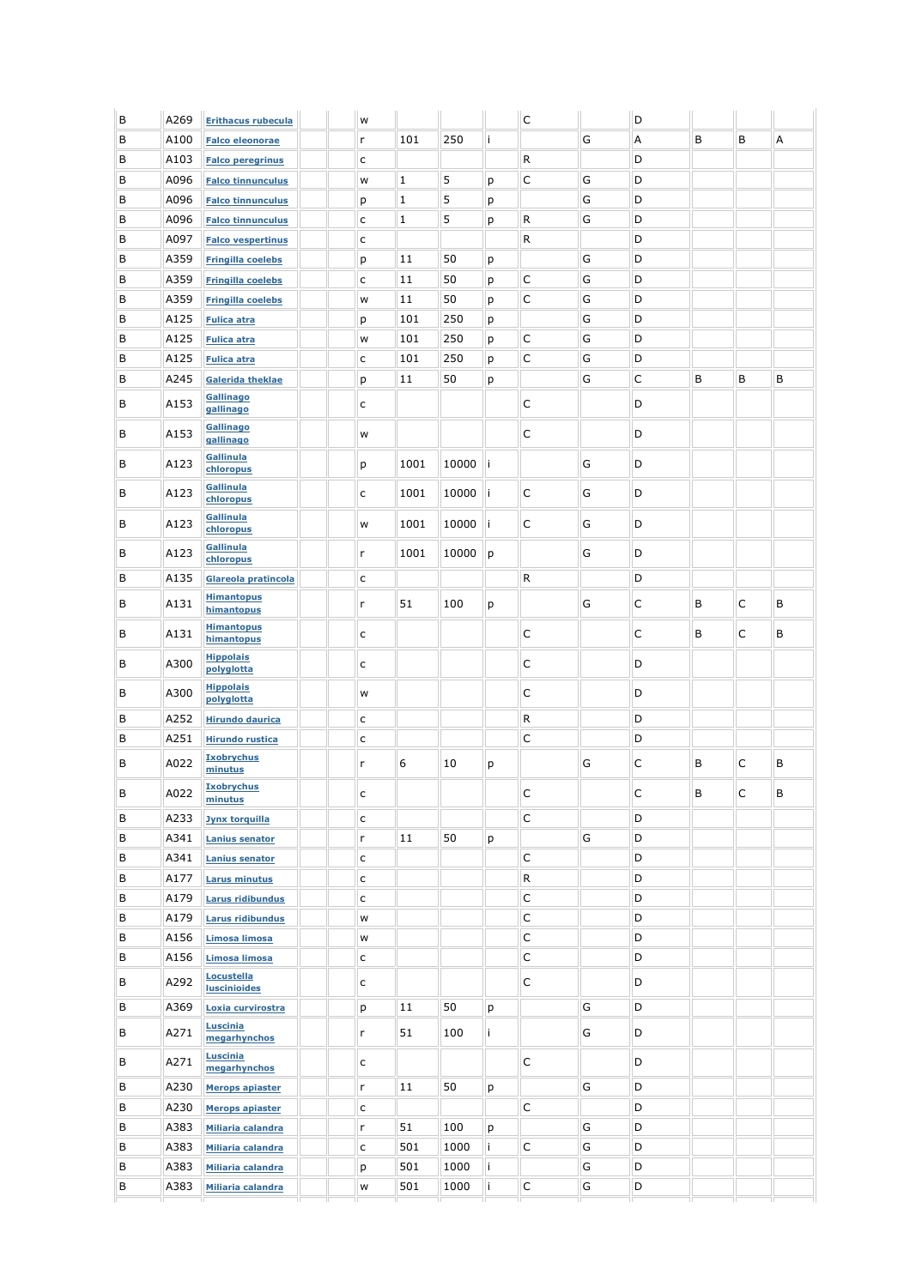| В | A269 | <b>Erithacus rubecula</b>         | W            |             |       |     | C           |   | D |   |   |   |
|---|------|-----------------------------------|--------------|-------------|-------|-----|-------------|---|---|---|---|---|
| В | A100 | <b>Falco eleonorae</b>            | r            | 101         | 250   | j.  |             | G | Α | B | B | A |
| В | A103 | <b>Falco peregrinus</b>           | $\mathsf{C}$ |             |       |     | ${\sf R}$   |   | D |   |   |   |
| В | A096 | <b>Falco tinnunculus</b>          | W            | $1\,$       | 5     | p   | C           | G | D |   |   |   |
| В | A096 | <b>Falco tinnunculus</b>          | р            | $1\,$       | 5     | p   |             | G | D |   |   |   |
| В | A096 | <b>Falco tinnunculus</b>          | $\mathsf{C}$ | $\mathbf 1$ | 5     | р   | R           | G | D |   |   |   |
| В | A097 | <b>Falco vespertinus</b>          | $\mathsf{C}$ |             |       |     | R           |   | D |   |   |   |
| В | A359 | <b>Fringilla coelebs</b>          | р            | 11          | 50    | р   |             | G | D |   |   |   |
| В | A359 | <b>Fringilla coelebs</b>          | $\mathsf{C}$ | 11          | 50    | р   | $\mathsf C$ | G | D |   |   |   |
| В | A359 | <b>Fringilla coelebs</b>          | W            | 11          | 50    | p   | $\mathsf C$ | G | D |   |   |   |
| В | A125 | <b>Fulica atra</b>                | р            | 101         | 250   | р   |             | G | D |   |   |   |
| В | A125 | <b>Fulica atra</b>                | W            | 101         | 250   | р   | $\mathsf C$ | G | D |   |   |   |
| В | A125 | <b>Fulica atra</b>                | $\mathsf{C}$ | 101         | 250   | р   | C           | G | D |   |   |   |
| В | A245 | Galerida theklae                  | р            | 11          | 50    | р   |             | G | С | В | B | B |
| В | A153 | Gallinago<br>gallinago            | $\mathsf{C}$ |             |       |     | $\mathsf C$ |   | D |   |   |   |
| В | A153 | <b>Gallinago</b><br>gallinago     | W            |             |       |     | $\mathsf C$ |   | D |   |   |   |
| B | A123 | Gallinula<br>chloropus            | p            | 1001        | 10000 | ∣i. |             | G | D |   |   |   |
| В | A123 | Gallinula<br>chloropus            | $\mathsf{C}$ | 1001        | 10000 | İ   | $\mathsf C$ | G | D |   |   |   |
| В | A123 | Gallinula<br>chloropus            | W            | 1001        | 10000 | j.  | $\mathsf C$ | G | D |   |   |   |
| В | A123 | Gallinula<br>chloropus            | r            | 1001        | 10000 | р   |             | G | D |   |   |   |
| В | A135 | Glareola pratincola               | $\mathsf{C}$ |             |       |     | R           |   | D |   |   |   |
| В | A131 | <b>Himantopus</b><br>himantopus   | r            | 51          | 100   | р   |             | G | С | В | C | B |
| В | A131 | <b>Himantopus</b><br>himantopus   | c            |             |       |     | $\mathsf C$ |   | С | В | C | В |
| В | A300 | <b>Hippolais</b><br>polyglotta    | c            |             |       |     | $\mathsf C$ |   | D |   |   |   |
| B | A300 | <b>Hippolais</b><br>polyglotta    | W            |             |       |     | $\mathsf C$ |   | D |   |   |   |
| В | A252 | <b>Hirundo daurica</b>            | c            |             |       |     | R           |   | D |   |   |   |
| В | A251 | <b>Hirundo rustica</b>            | $\mathsf{C}$ |             |       |     | C           |   | D |   |   |   |
| В | A022 | <b>Ixobrychus</b><br>minutus      | r            | 6           | 10    | р   |             | G | С | В | C | В |
| B | A022 | <b>Ixobrychus</b><br>minutus      | C            |             |       |     | C           |   | C | B | C | B |
| В | A233 | <b>Jynx torquilla</b>             | $\mathsf{C}$ |             |       |     | $\mathsf C$ |   | D |   |   |   |
| В | A341 | <b>Lanius senator</b>             | $\mathsf{r}$ | 11          | 50    | р   |             | G | D |   |   |   |
| В | A341 | <b>Lanius senator</b>             | $\mathsf{C}$ |             |       |     | $\mathsf C$ |   | D |   |   |   |
| В | A177 | <b>Larus minutus</b>              | $\mathsf{C}$ |             |       |     | ${\sf R}$   |   | D |   |   |   |
| В | A179 | Larus ridibundus                  | $\mathsf{C}$ |             |       |     | $\mathsf C$ |   | D |   |   |   |
| В | A179 | Larus ridibundus                  | W            |             |       |     | $\mathsf C$ |   | D |   |   |   |
| В | A156 | Limosa limosa                     | W            |             |       |     | $\mathsf C$ |   | D |   |   |   |
| В | A156 | Limosa limosa                     | c            |             |       |     | C           |   | D |   |   |   |
| В | A292 | Locustella<br><b>luscinioides</b> | c            |             |       |     | C           |   | D |   |   |   |
| В | A369 | Loxia curvirostra                 | р            | 11          | 50    | р   |             | G | D |   |   |   |
| В | A271 | <b>Luscinia</b><br>megarhynchos   | r            | 51          | 100   | i.  |             | G | D |   |   |   |
| В | A271 | <b>Luscinia</b><br>megarhynchos   | c            |             |       |     | $\mathsf C$ |   | D |   |   |   |
| В | A230 | <b>Merops apiaster</b>            | $\mathsf{r}$ | 11          | 50    | р   |             | G | D |   |   |   |
| В | A230 | <b>Merops apiaster</b>            | $\mathsf{C}$ |             |       |     | $\mathsf C$ |   | D |   |   |   |
| В | A383 | Miliaria calandra                 | r            | 51          | 100   | р   |             | G | D |   |   |   |
| В | A383 | Miliaria calandra                 | $\mathsf{C}$ | 501         | 1000  | i.  | $\mathsf C$ | G | D |   |   |   |
| В | A383 | <b>Miliaria calandra</b>          | р            | 501         | 1000  | i.  |             | G | D |   |   |   |
| В | A383 | Miliaria calandra                 | W            | 501         | 1000  | i   | C           | G | D |   |   |   |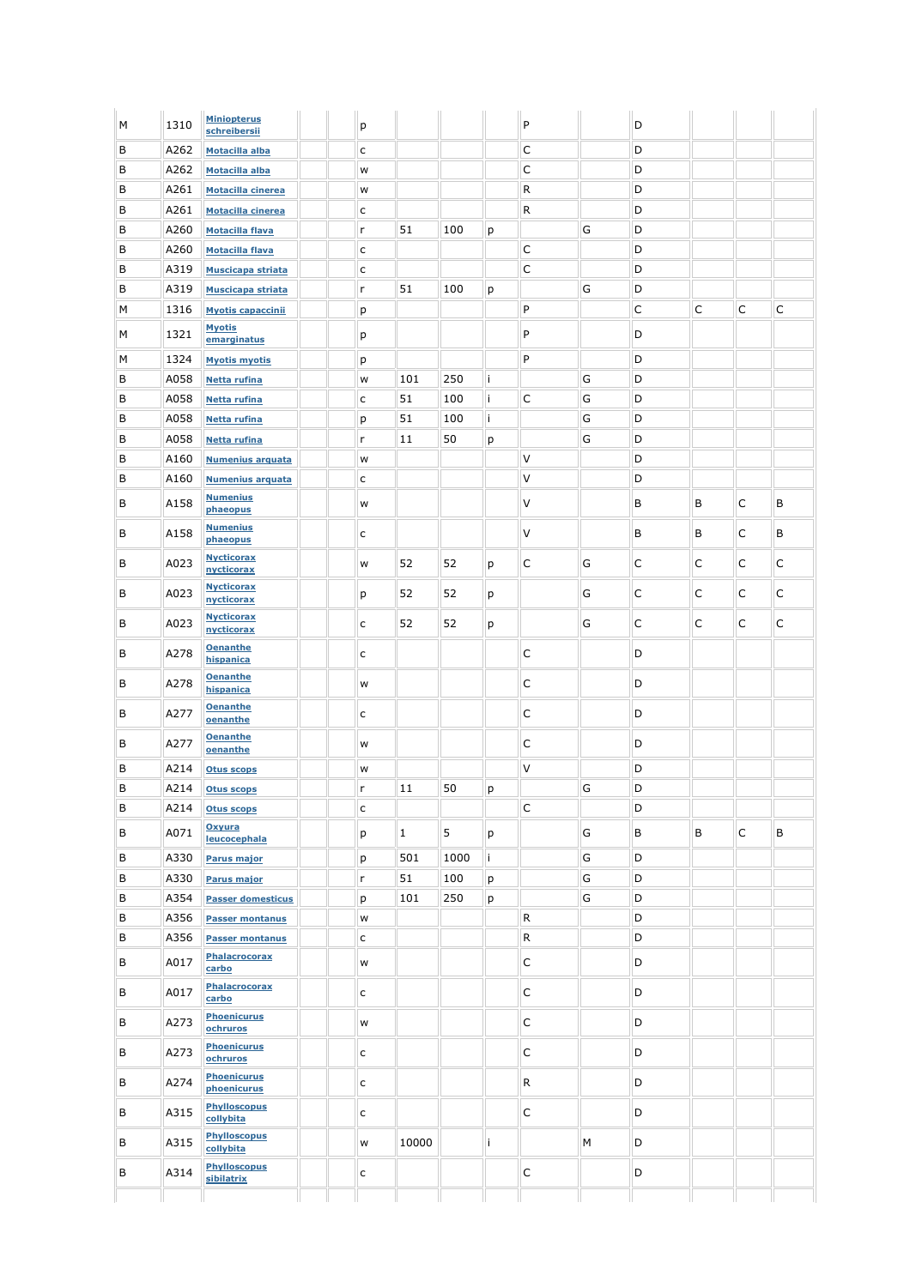| М | 1310 | <b>Miniopterus</b><br>schreibersii | p            |                |      |    | P            |   | D           |   |             |   |
|---|------|------------------------------------|--------------|----------------|------|----|--------------|---|-------------|---|-------------|---|
| B | A262 | Motacilla alba                     | $\mathsf{C}$ |                |      |    | C            |   | D           |   |             |   |
| B | A262 | Motacilla alba                     | W            |                |      |    | $\mathsf C$  |   | D           |   |             |   |
| В | A261 | <b>Motacilla cinerea</b>           | W            |                |      |    | ${\sf R}$    |   | D           |   |             |   |
| В | A261 | Motacilla cinerea                  | $\mathsf{C}$ |                |      |    | $\mathsf R$  |   | D           |   |             |   |
| B | A260 | <b>Motacilla flava</b>             | r            | 51             | 100  | р  |              | G | D           |   |             |   |
| В | A260 | <b>Motacilla flava</b>             | $\mathsf{C}$ |                |      |    | C            |   | D           |   |             |   |
| B | A319 | Muscicapa striata                  | $\mathsf{C}$ |                |      |    | $\mathsf C$  |   | D           |   |             |   |
| B | A319 | <b>Muscicapa striata</b>           | r            | 51             | 100  | р  |              | G | D           |   |             |   |
| М | 1316 | <b>Myotis capaccinii</b>           | p            |                |      |    | P            |   | $\mathsf C$ | C | C           | C |
| М | 1321 | <b>Myotis</b><br>emarginatus       | p            |                |      |    | P            |   | D           |   |             |   |
| М | 1324 | <b>Myotis myotis</b>               | р            |                |      |    | P            |   | D           |   |             |   |
| В | A058 | <b>Netta rufina</b>                | W            | 101            | 250  | i. |              | G | D           |   |             |   |
| B | A058 | <b>Netta rufina</b>                | $\mathsf{C}$ | 51             | 100  | i. | C            | G | D           |   |             |   |
| B | A058 | <b>Netta rufina</b>                | р            | 51             | 100  | i. |              | G | D           |   |             |   |
| В | A058 | <b>Netta rufina</b>                | r            | 11             | 50   | р  |              | G | D           |   |             |   |
| В | A160 | <b>Numenius arquata</b>            | W            |                |      |    | V            |   | D           |   |             |   |
| В | A160 | <b>Numenius arquata</b>            | $\mathsf{C}$ |                |      |    | V            |   | D           |   |             |   |
| В | A158 | <b>Numenius</b><br>phaeopus        | W            |                |      |    | V            |   | B           | В | C           | В |
| В | A158 | <b>Numenius</b><br>phaeopus        | $\mathsf{C}$ |                |      |    | V            |   | В           | В | C           | В |
| В | A023 | <b>Nycticorax</b><br>nycticorax    | W            | 52             | 52   | р  | $\mathsf C$  | G | $\mathsf C$ | C | С           | С |
| B | A023 | <b>Nycticorax</b><br>nycticorax    | р            | 52             | 52   | р  |              | G | $\mathsf C$ | C | C           | C |
| В | A023 | <b>Nycticorax</b><br>nycticorax    | $\mathsf{C}$ | 52             | 52   | р  |              | G | C           | C | C           | C |
| В | A278 | <b>Oenanthe</b><br>hispanica       | $\mathsf{C}$ |                |      |    | C            |   | D           |   |             |   |
| В | A278 | <b>Oenanthe</b><br>hispanica       | W            |                |      |    | $\mathsf C$  |   | D           |   |             |   |
| В | A277 | <b>Oenanthe</b><br>oenanthe        | $\mathsf{C}$ |                |      |    | $\mathsf C$  |   | D           |   |             |   |
| В | A277 | <b>Oenanthe</b><br>oenanthe        | w            |                |      |    | C            |   | D           |   |             |   |
| B | A214 | <b>Otus scops</b>                  | W            |                |      |    | V            |   | D           |   |             |   |
| В | A214 | <b>Otus scops</b>                  | 'n           | 11             | 50   | p  |              | G | D           |   |             |   |
| В | A214 | <b>Otus scops</b>                  | $\mathsf{C}$ |                |      |    | $\mathsf C$  |   | D           |   |             |   |
| В | A071 | Oxyura<br>leucocephala             | p            | $\overline{1}$ | 5    | р  |              | G | B           | B | $\mathsf C$ | B |
| В | A330 | <b>Parus major</b>                 | p            | 501            | 1000 | i. |              | G | D           |   |             |   |
| В | A330 | Parus major                        | r            | 51             | 100  | р  |              | G | D           |   |             |   |
| В | A354 | <b>Passer domesticus</b>           | р            | 101            | 250  | р  |              | G | D           |   |             |   |
| В | A356 | <b>Passer montanus</b>             | W            |                |      |    | $\mathsf{R}$ |   | D           |   |             |   |
| В | A356 | <b>Passer montanus</b>             | $\mathsf{C}$ |                |      |    | R            |   | D           |   |             |   |
| В | A017 | <b>Phalacrocorax</b><br>carbo      | W            |                |      |    | $\mathsf C$  |   | D           |   |             |   |
| В | A017 | <b>Phalacrocorax</b><br>carbo      | $\mathsf{C}$ |                |      |    | $\mathsf C$  |   | D           |   |             |   |
| В | A273 | <b>Phoenicurus</b><br>ochruros     | W            |                |      |    | $\mathsf C$  |   | D           |   |             |   |
| В | A273 | <b>Phoenicurus</b><br>ochruros     | $\mathsf{C}$ |                |      |    | $\mathsf C$  |   | D           |   |             |   |
| В | A274 | <b>Phoenicurus</b><br>phoenicurus  | $\mathsf{C}$ |                |      |    | R            |   | D           |   |             |   |
| В | A315 | <b>Phylloscopus</b><br>collybita   | $\mathsf{C}$ |                |      |    | $\mathsf C$  |   | D           |   |             |   |
| В | A315 | <b>Phylloscopus</b><br>collybita   | W            | 10000          |      | i  |              | М | D           |   |             |   |
| В | A314 | <b>Phylloscopus</b><br>sibilatrix  | $\mathsf{C}$ |                |      |    | $\mathsf C$  |   | D           |   |             |   |
|   |      |                                    |              |                |      |    |              |   |             |   |             |   |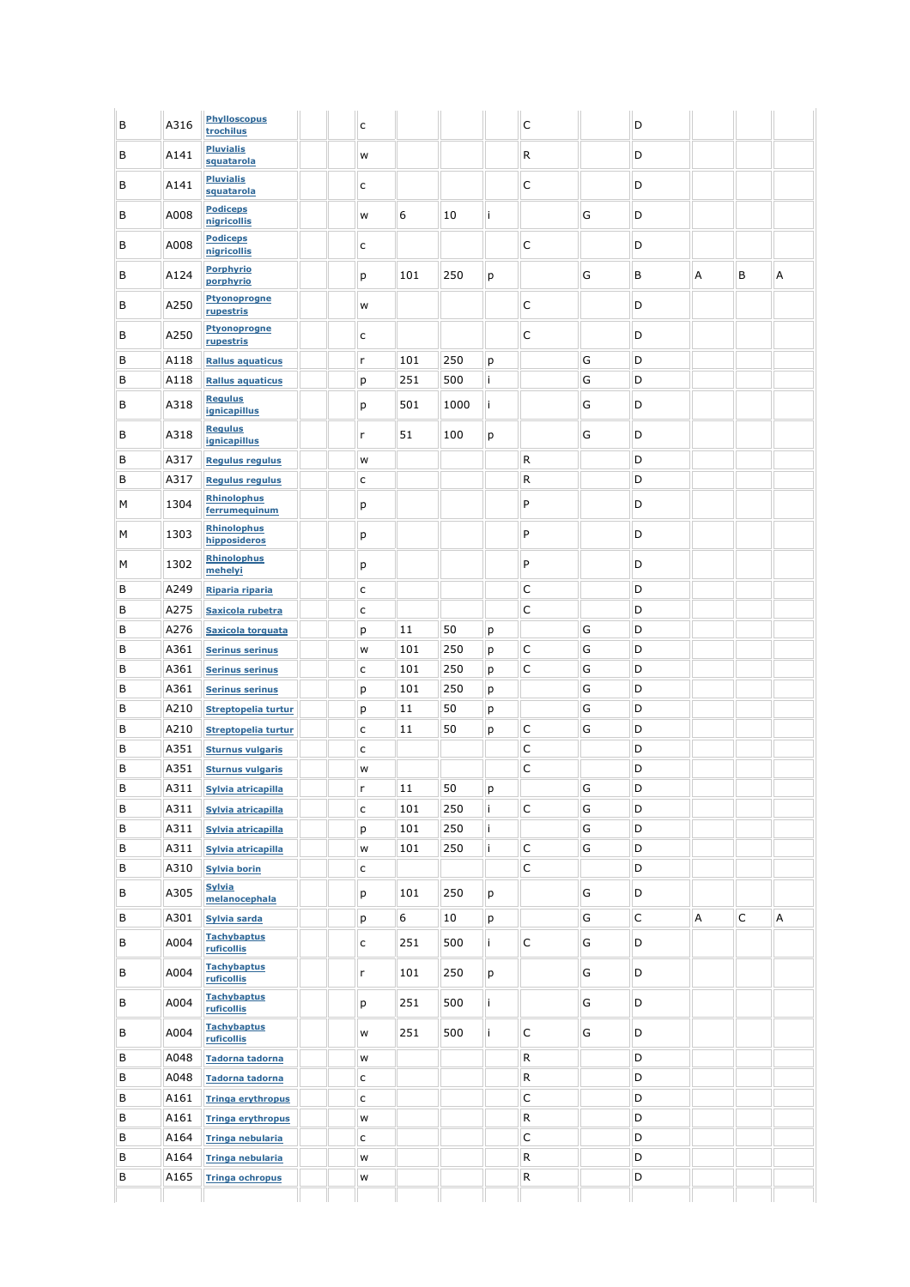| В | A316 | <b>Phylloscopus</b><br>trochilus    | $\mathsf{C}$ |     |      |    | C           |   | D |   |             |   |
|---|------|-------------------------------------|--------------|-----|------|----|-------------|---|---|---|-------------|---|
| В | A141 | <b>Pluvialis</b><br>squatarola      | W            |     |      |    | R           |   | D |   |             |   |
| В | A141 | <b>Pluvialis</b><br>squatarola      | $\mathsf{C}$ |     |      |    | C           |   | D |   |             |   |
| В | A008 | <b>Podiceps</b><br>nigricollis      | W            | 6   | 10   | i  |             | G | D |   |             |   |
| В | A008 | <b>Podiceps</b><br>nigricollis      | $\mathsf{C}$ |     |      |    | C           |   | D |   |             |   |
| В | A124 | <b>Porphyrio</b><br>porphyrio       | p            | 101 | 250  | р  |             | G | В | А | В           | Α |
| В | A250 | <b>Ptyonoprogne</b><br>rupestris    | W            |     |      |    | C           |   | D |   |             |   |
| В | A250 | <b>Ptyonoprogne</b><br>rupestris    | $\mathsf{C}$ |     |      |    | C           |   | D |   |             |   |
| B | A118 | <b>Rallus aquaticus</b>             | $\mathsf{r}$ | 101 | 250  | р  |             | G | D |   |             |   |
| В | A118 | <b>Rallus aquaticus</b>             | p            | 251 | 500  | İ. |             | G | D |   |             |   |
| B | A318 | <b>Regulus</b><br>ignicapillus      | p            | 501 | 1000 | i. |             | G | D |   |             |   |
|   |      | <b>Regulus</b>                      |              |     |      |    |             |   |   |   |             |   |
| В | A318 | <i>ignicapillus</i>                 | r            | 51  | 100  | р  |             | G | D |   |             |   |
| В | A317 | <b>Regulus regulus</b>              | W            |     |      |    | R           |   | D |   |             |   |
| В | A317 | <b>Regulus regulus</b>              | $\mathsf{C}$ |     |      |    | R           |   | D |   |             |   |
| М | 1304 | <b>Rhinolophus</b><br>ferrumequinum | р            |     |      |    | P           |   | D |   |             |   |
| М | 1303 | <b>Rhinolophus</b><br>hipposideros  | р            |     |      |    | P           |   | D |   |             |   |
| М | 1302 | <b>Rhinolophus</b><br>mehelyi       | p            |     |      |    | P           |   | D |   |             |   |
| В | A249 | Riparia riparia                     | $\mathsf{C}$ |     |      |    | С           |   | D |   |             |   |
| В | A275 | Saxicola rubetra                    | $\mathsf{C}$ |     |      |    | C           |   | D |   |             |   |
| B | A276 | <b>Saxicola torquata</b>            | p            | 11  | 50   | р  |             | G | D |   |             |   |
| В | A361 | <b>Serinus serinus</b>              | W            | 101 | 250  | р  | C           | G | D |   |             |   |
| B | A361 | <b>Serinus serinus</b>              | $\mathsf{C}$ | 101 | 250  | р  | C           | G | D |   |             |   |
| В | A361 | <b>Serinus serinus</b>              | p            | 101 | 250  | р  |             | G | D |   |             |   |
| В | A210 | Streptopelia turtur                 | р            | 11  | 50   | р  |             | G | D |   |             |   |
| В | A210 | Streptopelia turtur                 | $\mathsf{C}$ | 11  | 50   | р  | С           | G | D |   |             |   |
| B | A351 | <b>Sturnus vulgaris</b>             | $\mathsf{C}$ |     |      |    | C           |   | D |   |             |   |
| B | A351 | <b>Sturnus vulgaris</b>             | W            |     |      |    | C           |   | D |   |             |   |
| B | A311 | Sylvia atricapilla                  | r            | 11  | 50   | p  |             | G | D |   |             |   |
| В | A311 | Sylvia atricapilla                  | $\mathsf{C}$ | 101 | 250  | i. | C           | G | D |   |             |   |
| В | A311 | Sylvia atricapilla                  | p            | 101 | 250  | i. |             | G | D |   |             |   |
| В | A311 | Sylvia atricapilla                  | W            | 101 | 250  | i. | $\mathsf C$ | G | D |   |             |   |
| В | A310 | <b>Sylvia borin</b>                 | $\mathsf{C}$ |     |      |    | $\mathsf C$ |   | D |   |             |   |
| В | A305 | <b>Sylvia</b><br>melanocephala      | p            | 101 | 250  | р  |             | G | D |   |             |   |
| В | A301 | Sylvia sarda                        | p            | 6   | 10   | р  |             | G | C | Α | $\mathsf C$ | A |
| В | A004 | <b>Tachybaptus</b>                  | $\mathsf{C}$ | 251 | 500  | i. | С           | G | D |   |             |   |
| В | A004 | ruficollis<br><b>Tachybaptus</b>    | r            | 101 | 250  | р  |             | G | D |   |             |   |
| В | A004 | ruficollis<br><b>Tachybaptus</b>    | p            | 251 | 500  | i. |             | G | D |   |             |   |
| В | A004 | ruficollis<br><b>Tachybaptus</b>    | W            | 251 | 500  | İ. | $\mathsf C$ | G | D |   |             |   |
| В | A048 | ruficollis<br>Tadorna tadorna       | W            |     |      |    | R           |   | D |   |             |   |
| В | A048 | <b>Tadorna tadorna</b>              | $\mathsf{C}$ |     |      |    | ${\sf R}$   |   | D |   |             |   |
| В | A161 | <b>Tringa erythropus</b>            | $\mathsf{C}$ |     |      |    | $\mathsf C$ |   | D |   |             |   |
| В | A161 | <b>Tringa erythropus</b>            | W            |     |      |    | ${\sf R}$   |   | D |   |             |   |
| В | A164 | <b>Tringa nebularia</b>             | $\mathsf{C}$ |     |      |    | $\mathsf C$ |   | D |   |             |   |
| В | A164 | Tringa nebularia                    | W            |     |      |    | ${\sf R}$   |   | D |   |             |   |
| В | A165 |                                     |              |     |      |    | R           |   | D |   |             |   |
|   |      | <b>Tringa ochropus</b>              | W            |     |      |    |             |   |   |   |             |   |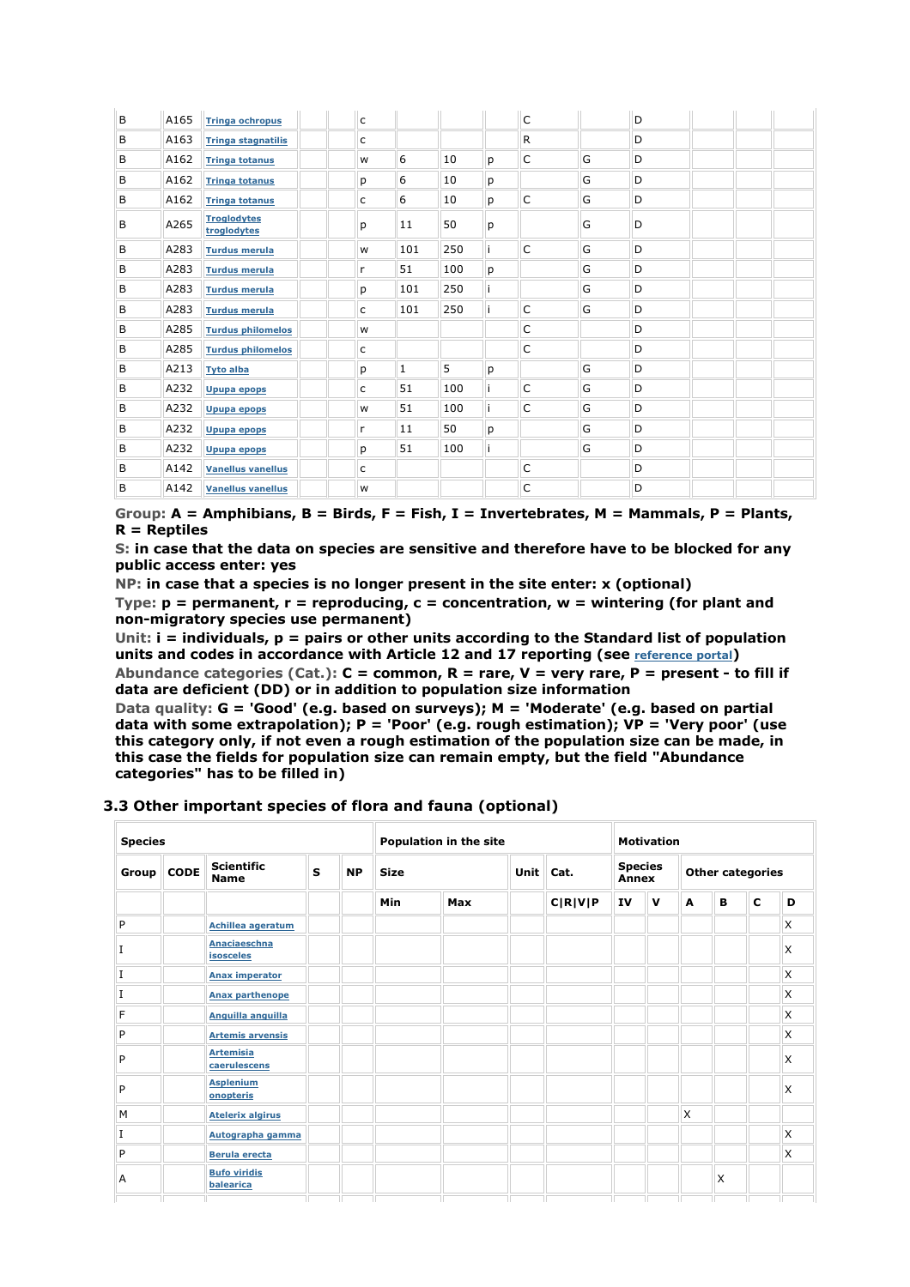| B | A165 | <b>Tringa ochropus</b>            | $\mathsf{C}$ |     |     |    | C           |   | D |  |  |
|---|------|-----------------------------------|--------------|-----|-----|----|-------------|---|---|--|--|
| B | A163 | <b>Tringa stagnatilis</b>         | $\mathsf{C}$ |     |     |    | ${\sf R}$   |   | D |  |  |
| B | A162 | <b>Tringa totanus</b>             | W            | 6   | 10  | р  | C           | G | D |  |  |
| B | A162 | <b>Tringa totanus</b>             | p            | 6   | 10  | р  |             | G | D |  |  |
| B | A162 | <b>Tringa totanus</b>             | $\mathsf{C}$ | 6   | 10  | p  | $\mathsf C$ | G | D |  |  |
| B | A265 | <b>Troglodytes</b><br>troglodytes | р            | 11  | 50  | р  |             | G | D |  |  |
| B | A283 | <b>Turdus merula</b>              | W            | 101 | 250 | İ  | C           | G | D |  |  |
| B | A283 | <b>Turdus merula</b>              | r            | 51  | 100 | р  |             | G | D |  |  |
| B | A283 | <b>Turdus merula</b>              | р            | 101 | 250 |    |             | G | D |  |  |
| B | A283 | <b>Turdus merula</b>              | $\mathsf{C}$ | 101 | 250 | j. | C           | G | D |  |  |
| B | A285 | <b>Turdus philomelos</b>          | W            |     |     |    | C           |   | D |  |  |
| B | A285 | <b>Turdus philomelos</b>          | C            |     |     |    | C           |   | D |  |  |
| B | A213 | <b>Tyto alba</b>                  | р            | 1   | 5   | р  |             | G | D |  |  |
| B | A232 | <b>Upupa epops</b>                | $\mathsf{C}$ | 51  | 100 |    | C           | G | D |  |  |
| B | A232 | <b>Upupa epops</b>                | W            | 51  | 100 | ì  | C           | G | D |  |  |
| B | A232 | Upupa epops                       | r            | 11  | 50  | р  |             | G | D |  |  |
| B | A232 | <b>Upupa epops</b>                | р            | 51  | 100 |    |             | G | D |  |  |
| B | A142 | <b>Vanellus vanellus</b>          | C            |     |     |    | C           |   | D |  |  |
| B | A142 | <b>Vanellus vanellus</b>          | W            |     |     |    | C           |   | D |  |  |

**Group: A = Amphibians, B = Birds, F = Fish, I = Invertebrates, M = Mammals, P = Plants, R = Reptiles** 

**S: in case that the data on species are sensitive and therefore have to be blocked for any public access enter: yes** 

**NP: in case that a species is no longer present in the site enter: x (optional) Type: p = permanent, r = reproducing, c = concentration, w = wintering (for plant and non-migratory species use permanent)** 

**Unit: i = individuals, p = pairs or other units according to the Standard list of population units and codes in accordance with Article 12 and 17 reporting (see reference portal)** 

**Abundance categories (Cat.): C = common, R = rare, V = very rare, P = present - to fill if data are deficient (DD) or in addition to population size information** 

**Data quality: G = 'Good' (e.g. based on surveys); M = 'Moderate' (e.g. based on partial data with some extrapolation); P = 'Poor' (e.g. rough estimation); VP = 'Very poor' (use this category only, if not even a rough estimation of the population size can be made, in this case the fields for population size can remain empty, but the field "Abundance categories" has to be filled in)** 

#### **3.3 Other important species of flora and fauna (optional)**

| <b>Species</b> |             |                                                                                  |      |                         | Population in the site |                         |         | <b>Motivation</b> |             |   |          |             |   |
|----------------|-------------|----------------------------------------------------------------------------------|------|-------------------------|------------------------|-------------------------|---------|-------------------|-------------|---|----------|-------------|---|
| Group          | <b>CODE</b> | <b>Scientific</b><br>S<br><b>NP</b><br><b>Unit</b><br><b>Size</b><br><b>Name</b> | Cat. | <b>Species</b><br>Annex |                        | <b>Other categories</b> |         |                   |             |   |          |             |   |
|                |             |                                                                                  |      | <b>Min</b>              | Max                    |                         | C R V P | IV                | $\mathbf v$ | A | B        | $\mathbf c$ | D |
| P              |             | <b>Achillea ageratum</b>                                                         |      |                         |                        |                         |         |                   |             |   |          |             | X |
|                |             | <b>Anaciaeschna</b><br>isosceles                                                 |      |                         |                        |                         |         |                   |             |   |          |             | X |
| I              |             | <b>Anax imperator</b>                                                            |      |                         |                        |                         |         |                   |             |   |          |             | X |
| I              |             | <b>Anax parthenope</b>                                                           |      |                         |                        |                         |         |                   |             |   |          |             | X |
| F              |             | <b>Anguilla anguilla</b>                                                         |      |                         |                        |                         |         |                   |             |   |          |             | X |
| P              |             | <b>Artemis arvensis</b>                                                          |      |                         |                        |                         |         |                   |             |   |          |             | X |
| P              |             | <b>Artemisia</b><br>caerulescens                                                 |      |                         |                        |                         |         |                   |             |   |          |             | X |
| P              |             | <b>Asplenium</b><br>onopteris                                                    |      |                         |                        |                         |         |                   |             |   |          |             | X |
| M              |             | <b>Atelerix algirus</b>                                                          |      |                         |                        |                         |         |                   |             | X |          |             |   |
| I              |             | Autographa gamma                                                                 |      |                         |                        |                         |         |                   |             |   |          |             | X |
| P              |             | <b>Berula erecta</b>                                                             |      |                         |                        |                         |         |                   |             |   |          |             | X |
| A              |             | <b>Bufo viridis</b><br>balearica                                                 |      |                         |                        |                         |         |                   |             |   | $\times$ |             |   |
|                |             |                                                                                  |      |                         |                        |                         |         |                   |             |   |          |             |   |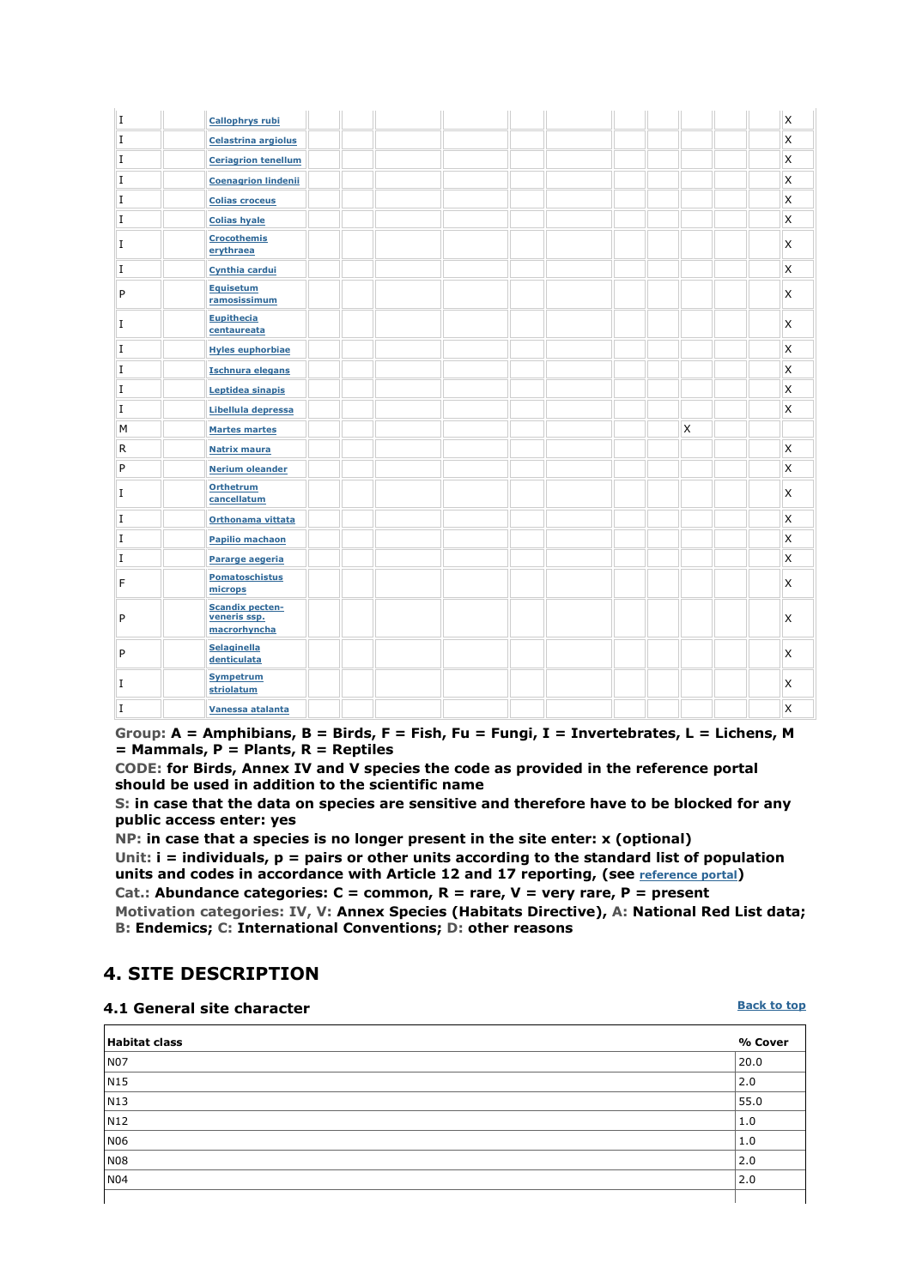| I           | <b>Callophrys rubi</b>                                 | X        |
|-------------|--------------------------------------------------------|----------|
| $\rm I$     | <b>Celastrina argiolus</b>                             | X        |
| $\rm I$     | <b>Ceriagrion tenellum</b>                             | <b>X</b> |
| $\bf I$     | <b>Coenagrion lindenii</b>                             | <b>X</b> |
| $\bf I$     | <b>Colias croceus</b>                                  | <b>X</b> |
| $\bf I$     | <b>Colias hyale</b>                                    | <b>X</b> |
| $\mathbf I$ | <b>Crocothemis</b><br>erythraea                        | <b>X</b> |
| $\mathbf I$ | Cynthia cardui                                         | <b>X</b> |
| P           | <b>Equisetum</b><br>ramosissimum                       | <b>X</b> |
| $\bf I$     | <b>Eupithecia</b><br>centaureata                       | <b>X</b> |
| $\mathbf I$ | <b>Hyles euphorbiae</b>                                | <b>X</b> |
| $\bf I$     | <b>Ischnura elegans</b>                                | X        |
| $\bf I$     | Leptidea sinapis                                       | X        |
| $\bf I$     | Libellula depressa                                     | X        |
| M           | X<br><b>Martes martes</b>                              |          |
| R           | <b>Natrix maura</b>                                    | X        |
| P           | <b>Nerium oleander</b>                                 | X        |
| $\bf I$     | <b>Orthetrum</b><br>cancellatum                        | X        |
| $\rm I$     | Orthonama vittata                                      | X        |
| $\rm I$     | <b>Papilio machaon</b>                                 | <b>X</b> |
| $\bf I$     | Pararge aegeria                                        | <b>X</b> |
| F           | <b>Pomatoschistus</b><br>microps                       | <b>X</b> |
| P           | <b>Scandix pecten-</b><br>veneris ssp.<br>macrorhyncha | <b>X</b> |
| P           | <b>Selaginella</b><br>denticulata                      | X        |
| $\bf I$     | <b>Sympetrum</b><br>striolatum                         | X        |
| $\bf I$     | Vanessa atalanta                                       | X        |

**Group: A = Amphibians, B = Birds, F = Fish, Fu = Fungi, I = Invertebrates, L = Lichens, M = Mammals, P = Plants, R = Reptiles** 

**CODE: for Birds, Annex IV and V species the code as provided in the reference portal should be used in addition to the scientific name** 

**S: in case that the data on species are sensitive and therefore have to be blocked for any public access enter: yes** 

**NP: in case that a species is no longer present in the site enter: x (optional) Unit: i = individuals, p = pairs or other units according to the standard list of population units and codes in accordance with Article 12 and 17 reporting, (see reference portal)** 

**Cat.: Abundance categories: C = common, R = rare, V = very rare, P = present Motivation categories: IV, V: Annex Species (Habitats Directive), A: National Red List data; B: Endemics; C: International Conventions; D: other reasons** 

# **4. SITE DESCRIPTION**

#### **4.1 General site character**

## **Habitat class % Cover** NO7 20.0  $N15$  2.0  $N13$  55.0  $N12$  | 1.0 NO6  $1.0$  $N08$  2.0  $N04$  2.0

**Back to top**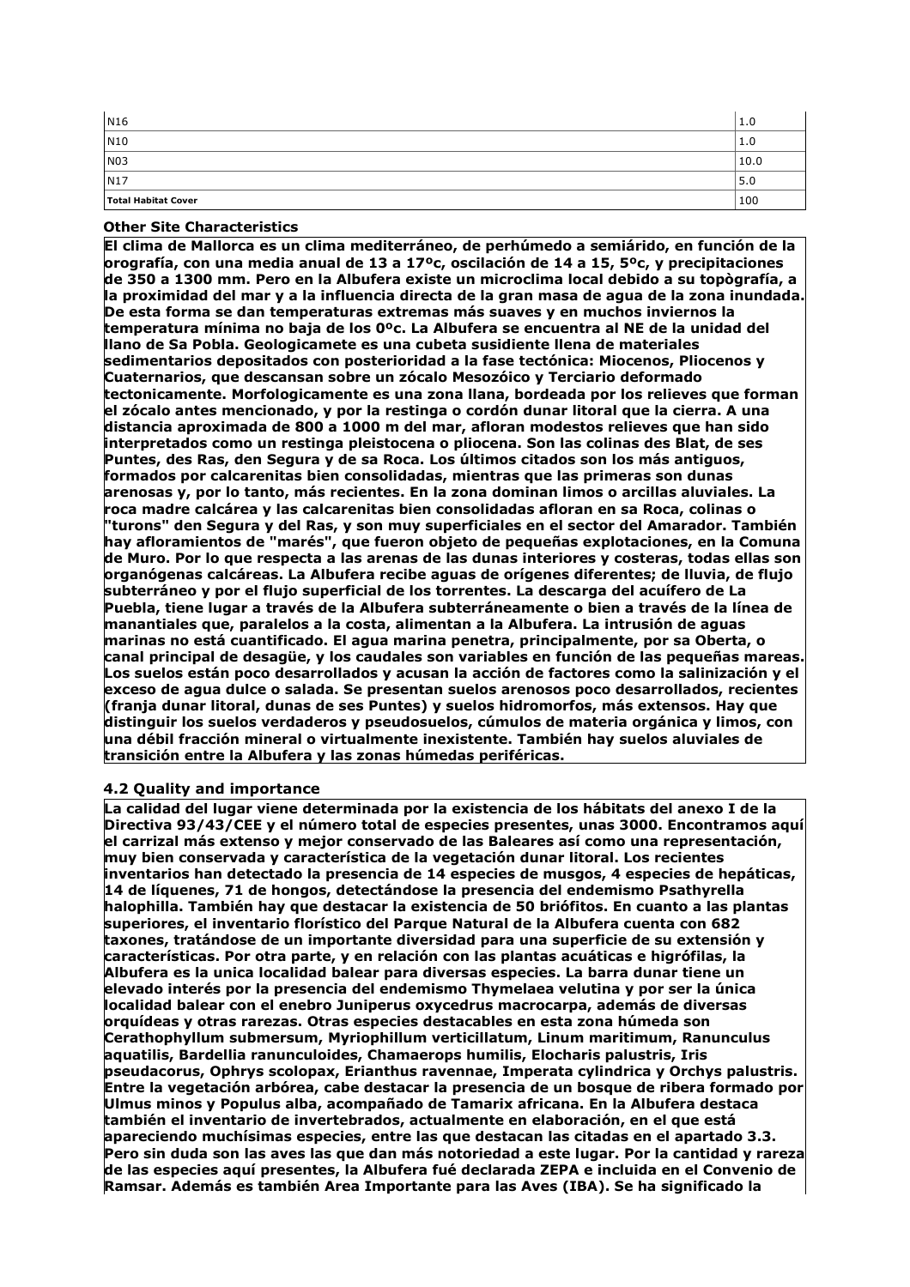| N <sub>16</sub>     | 1.0  |
|---------------------|------|
| $\vert$ N10         | 1.0  |
| N03                 | 10.0 |
| N17                 | 5.0  |
| Total Habitat Cover | 100  |

#### **Other Site Characteristics**

**El clima de Mallorca es un clima mediterráneo, de perhúmedo a semiárido, en función de la orografía, con una media anual de 13 a 17ºc, oscilación de 14 a 15, 5ºc, y precipitaciones de 350 a 1300 mm. Pero en la Albufera existe un microclima local debido a su topògrafía, a la proximidad del mar y a la influencia directa de la gran masa de agua de la zona inundada. De esta forma se dan temperaturas extremas más suaves y en muchos inviernos la temperatura mínima no baja de los 0ºc. La Albufera se encuentra al NE de la unidad del llano de Sa Pobla. Geologicamete es una cubeta susidiente llena de materiales sedimentarios depositados con posterioridad a la fase tectónica: Miocenos, Pliocenos y Cuaternarios, que descansan sobre un zócalo Mesozóico y Terciario deformado tectonicamente. Morfologicamente es una zona llana, bordeada por los relieves que forman el zócalo antes mencionado, y por la restinga o cordón dunar litoral que la cierra. A una distancia aproximada de 800 a 1000 m del mar, afloran modestos relieves que han sido interpretados como un restinga pleistocena o pliocena. Son las colinas des Blat, de ses Puntes, des Ras, den Segura y de sa Roca. Los últimos citados son los más antiguos, formados por calcarenitas bien consolidadas, mientras que las primeras son dunas arenosas y, por lo tanto, más recientes. En la zona dominan limos o arcillas aluviales. La roca madre calcárea y las calcarenitas bien consolidadas afloran en sa Roca, colinas o "turons" den Segura y del Ras, y son muy superficiales en el sector del Amarador. También hay afloramientos de "marés", que fueron objeto de pequeñas explotaciones, en la Comuna de Muro. Por lo que respecta a las arenas de las dunas interiores y costeras, todas ellas son organógenas calcáreas. La Albufera recibe aguas de orígenes diferentes; de lluvia, de flujo subterráneo y por el flujo superficial de los torrentes. La descarga del acuífero de La Puebla, tiene lugar a través de la Albufera subterráneamente o bien a través de la línea de manantiales que, paralelos a la costa, alimentan a la Albufera. La intrusión de aguas marinas no está cuantificado. El agua marina penetra, principalmente, por sa Oberta, o canal principal de desagüe, y los caudales son variables en función de las pequeñas mareas. Los suelos están poco desarrollados y acusan la acción de factores como la salinización y el exceso de agua dulce o salada. Se presentan suelos arenosos poco desarrollados, recientes (franja dunar litoral, dunas de ses Puntes) y suelos hidromorfos, más extensos. Hay que distinguir los suelos verdaderos y pseudosuelos, cúmulos de materia orgánica y limos, con una débil fracción mineral o virtualmente inexistente. También hay suelos aluviales de transición entre la Albufera y las zonas húmedas periféricas.**

#### **4.2 Quality and importance**

**La calidad del lugar viene determinada por la existencia de los hábitats del anexo I de la Directiva 93/43/CEE y el número total de especies presentes, unas 3000. Encontramos aquí el carrizal más extenso y mejor conservado de las Baleares así como una representación, muy bien conservada y característica de la vegetación dunar litoral. Los recientes inventarios han detectado la presencia de 14 especies de musgos, 4 especies de hepáticas, 14 de líquenes, 71 de hongos, detectándose la presencia del endemismo Psathyrella halophilla. También hay que destacar la existencia de 50 briófitos. En cuanto a las plantas superiores, el inventario florístico del Parque Natural de la Albufera cuenta con 682 taxones, tratándose de un importante diversidad para una superficie de su extensión y características. Por otra parte, y en relación con las plantas acuáticas e higrófilas, la Albufera es la unica localidad balear para diversas especies. La barra dunar tiene un elevado interés por la presencia del endemismo Thymelaea velutina y por ser la única localidad balear con el enebro Juniperus oxycedrus macrocarpa, además de diversas orquídeas y otras rarezas. Otras especies destacables en esta zona húmeda son Cerathophyllum submersum, Myriophillum verticillatum, Linum maritimum, Ranunculus aquatilis, Bardellia ranunculoides, Chamaerops humilis, Elocharis palustris, Iris pseudacorus, Ophrys scolopax, Erianthus ravennae, Imperata cylindrica y Orchys palustris. Entre la vegetación arbórea, cabe destacar la presencia de un bosque de ribera formado por Ulmus minos y Populus alba, acompañado de Tamarix africana. En la Albufera destaca también el inventario de invertebrados, actualmente en elaboración, en el que está apareciendo muchísimas especies, entre las que destacan las citadas en el apartado 3.3. Pero sin duda son las aves las que dan más notoriedad a este lugar. Por la cantidad y rareza de las especies aquí presentes, la Albufera fué declarada ZEPA e incluida en el Convenio de Ramsar. Además es también Area Importante para las Aves (IBA). Se ha significado la**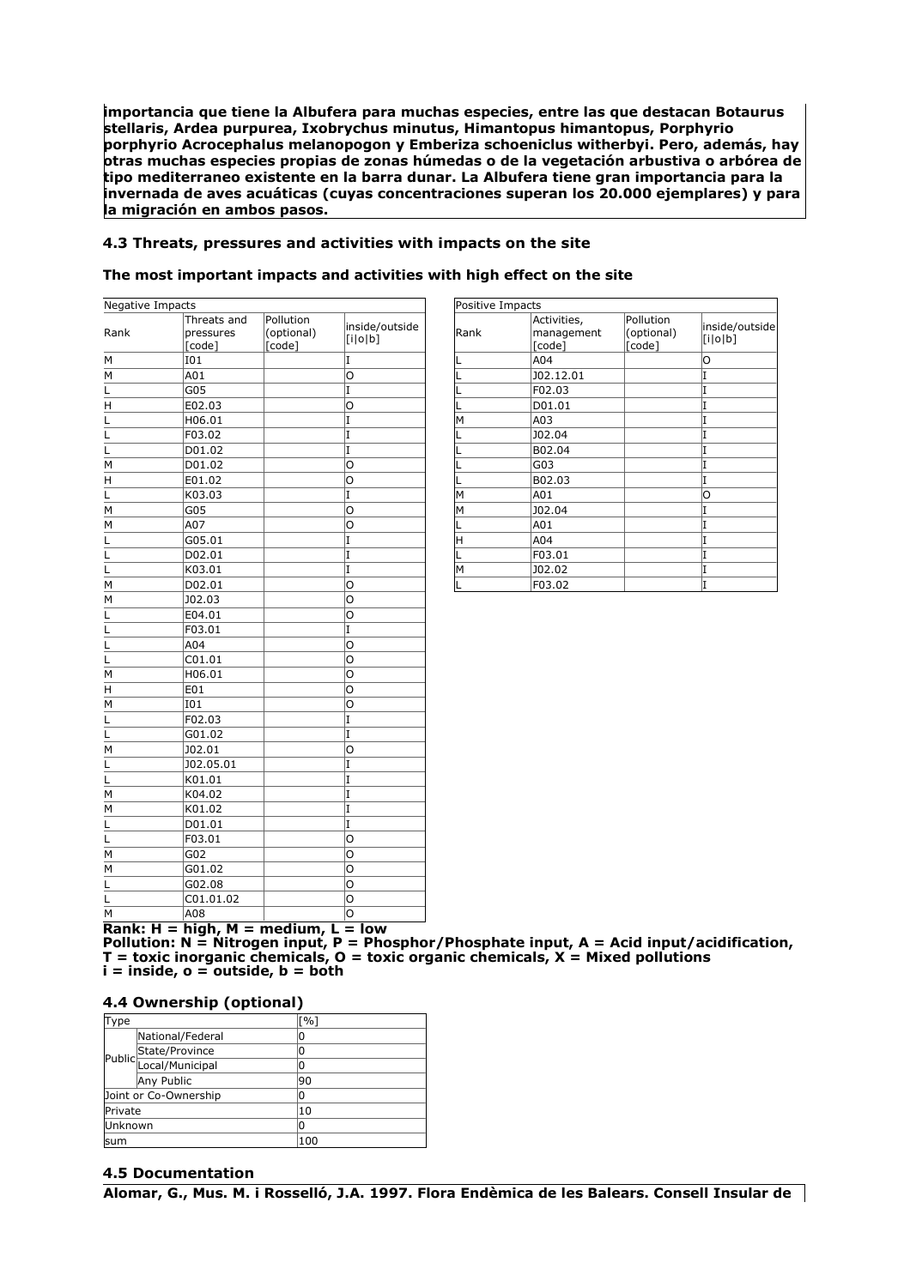**importancia que tiene la Albufera para muchas especies, entre las que destacan Botaurus stellaris, Ardea purpurea, Ixobrychus minutus, Himantopus himantopus, Porphyrio porphyrio Acrocephalus melanopogon y Emberiza schoeniclus witherbyi. Pero, además, hay otras muchas especies propias de zonas húmedas o de la vegetación arbustiva o arbórea de tipo mediterraneo existente en la barra dunar. La Albufera tiene gran importancia para la invernada de aves acuáticas (cuyas concentraciones superan los 20.000 ejemplares) y para la migración en ambos pasos.**

#### **4.3 Threats, pressures and activities with impacts on the site**

#### **The most important impacts and activities with high effect on the site**

| Negative Impacts |             |            |                |
|------------------|-------------|------------|----------------|
|                  | Threats and | Pollution  | inside/outside |
| Rank             | pressures   | (optional) | [i o b]        |
|                  | [code]      | [code]     |                |
| м                | I01         |            | I              |
| M                | A01         |            | O              |
| L                | G05         |            | I              |
| Η                | E02.03      |            | O              |
| L                | H06.01      |            | I              |
| L                | F03.02      |            | I              |
| L                | D01.02      |            | I              |
| м                | D01.02      |            | O              |
| Η                | E01.02      |            | O              |
| L                | K03.03      |            | I              |
| M                | G05         |            | O              |
| M                | A07         |            | Ο              |
| Г                | G05.01      |            | I              |
| L                | D02.01      |            | I              |
| L                | K03.01      |            | I              |
| M                | D02.01      |            | O              |
| M                | J02.03      |            | 0              |
| L                | E04.01      |            | O              |
| L                | F03.01      |            | I              |
| L                | A04         |            | O              |
| L                | C01.01      |            | O              |
| м                | H06.01      |            | O              |
| H                | E01         |            | O              |
| M                | I01         |            | O              |
| L                | F02.03      |            | I              |
| L                | G01.02      |            | I              |
| м                | J02.01      |            | O              |
| L                | J02.05.01   |            | I              |
| L                | K01.01      |            | I              |
| M                | K04.02      |            | I              |
| M                | K01.02      |            | I              |
| L                | D01.01      |            | I              |
| L                | F03.01      |            | Ó              |
| M                | G02         |            | O              |
| M                | G01.02      |            | O              |
| L                | G02.08      |            | O              |
| L                | C01.01.02   |            | O              |
| M                | A08         |            | O              |

| Positive Impacts |                                     |                                   |                           |
|------------------|-------------------------------------|-----------------------------------|---------------------------|
| Rank             | Activities,<br>management<br>[code] | Pollution<br>(optional)<br>[code] | inside/outside<br>[i o b] |
|                  | A04                                 |                                   | O                         |
|                  | J02.12.01                           |                                   | I                         |
|                  | F02.03                              |                                   |                           |
|                  | D01.01                              |                                   |                           |
| M                | A03                                 |                                   |                           |
|                  | J02.04                              |                                   |                           |
|                  | B02.04                              |                                   |                           |
|                  | G03                                 |                                   |                           |
|                  | B02.03                              |                                   | I                         |
| M                | A01                                 |                                   | O                         |
| M                | J02.04                              |                                   | I                         |
|                  | A01                                 |                                   | I                         |
| H                | A04                                 |                                   | I                         |
|                  | F03.01                              |                                   | I                         |
| M                | J02.02                              |                                   |                           |
|                  | F03.02                              |                                   | I                         |

**Rank: H = high, M = medium, L = low**

**Pollution: N = Nitrogen input, P = Phosphor/Phosphate input, A = Acid input/acidification, T = toxic inorganic chemicals, O = toxic organic chemicals, X = Mixed pollutions i = inside, o = outside, b = both** 

#### **4.4 Ownership (optional)**

| Type    |                       | [%] |  |
|---------|-----------------------|-----|--|
|         | National/Federal      |     |  |
|         |                       |     |  |
|         | Public State/Province | 0   |  |
|         | Any Public            | 90  |  |
|         | Joint or Co-Ownership | 0   |  |
| Private |                       | 10  |  |
| Unknown |                       | 0   |  |
| lsum    |                       | 10C |  |

#### **4.5 Documentation**

**Alomar, G., Mus. M. i Rosselló, J.A. 1997. Flora Endèmica de les Balears. Consell Insular de**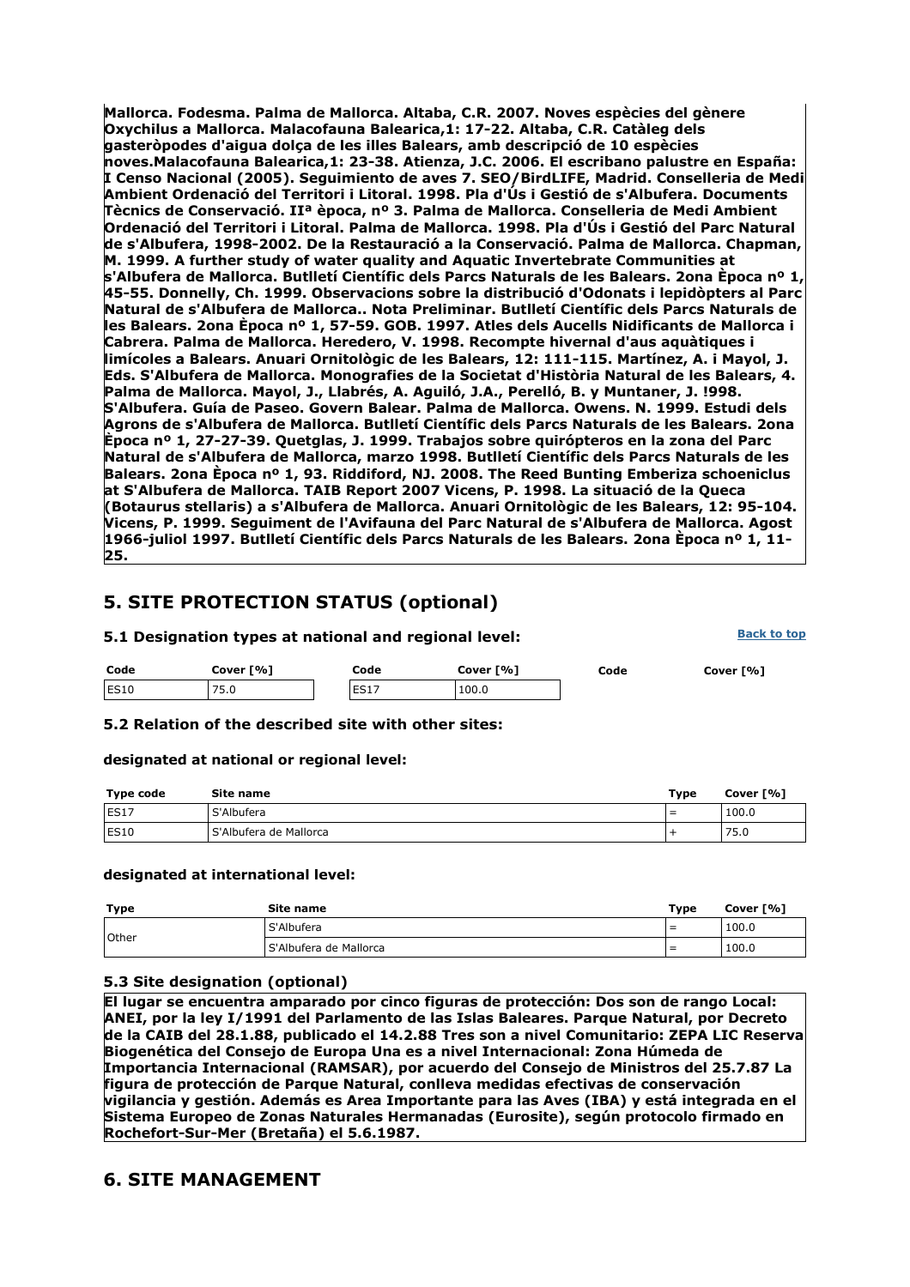**Mallorca. Fodesma. Palma de Mallorca. Altaba, C.R. 2007. Noves espècies del gènere Oxychilus a Mallorca. Malacofauna Balearica,1: 17-22. Altaba, C.R. Catàleg dels gasteròpodes d'aigua dolça de les illes Balears, amb descripció de 10 espècies noves.Malacofauna Balearica,1: 23-38. Atienza, J.C. 2006. El escribano palustre en España: I Censo Nacional (2005). Seguimiento de aves 7. SEO/BirdLIFE, Madrid. Conselleria de Medi Ambient Ordenació del Territori i Litoral. 1998. Pla d'Ús i Gestió de s'Albufera. Documents Tècnics de Conservació. IIª època, nº 3. Palma de Mallorca. Conselleria de Medi Ambient Ordenació del Territori i Litoral. Palma de Mallorca. 1998. Pla d'Ús i Gestió del Parc Natural de s'Albufera, 1998-2002. De la Restauració a la Conservació. Palma de Mallorca. Chapman, M. 1999. A further study of water quality and Aquatic Invertebrate Communities at s'Albufera de Mallorca. Butlletí Científic dels Parcs Naturals de les Balears. 2ona Època nº 1, 45-55. Donnelly, Ch. 1999. Observacions sobre la distribució d'Odonats i lepidòpters al Parc Natural de s'Albufera de Mallorca.. Nota Preliminar. Butlletí Científic dels Parcs Naturals de les Balears. 2ona Època nº 1, 57-59. GOB. 1997. Atles dels Aucells Nidificants de Mallorca i Cabrera. Palma de Mallorca. Heredero, V. 1998. Recompte hivernal d'aus aquàtiques i limícoles a Balears. Anuari Ornitològic de les Balears, 12: 111-115. Martínez, A. i Mayol, J. Eds. S'Albufera de Mallorca. Monografies de la Societat d'Història Natural de les Balears, 4. Palma de Mallorca. Mayol, J., Llabrés, A. Aguiló, J.A., Perelló, B. y Muntaner, J. !998. S'Albufera. Guía de Paseo. Govern Balear. Palma de Mallorca. Owens. N. 1999. Estudi dels Agrons de s'Albufera de Mallorca. Butlletí Científic dels Parcs Naturals de les Balears. 2ona Època nº 1, 27-27-39. Quetglas, J. 1999. Trabajos sobre quirópteros en la zona del Parc Natural de s'Albufera de Mallorca, marzo 1998. Butlletí Científic dels Parcs Naturals de les Balears. 2ona Època nº 1, 93. Riddiford, NJ. 2008. The Reed Bunting Emberiza schoeniclus at S'Albufera de Mallorca. TAIB Report 2007 Vicens, P. 1998. La situació de la Queca (Botaurus stellaris) a s'Albufera de Mallorca. Anuari Ornitològic de les Balears, 12: 95-104. Vicens, P. 1999. Seguiment de l'Avifauna del Parc Natural de s'Albufera de Mallorca. Agost 1966-juliol 1997. Butlletí Científic dels Parcs Naturals de les Balears. 2ona Època nº 1, 11- 25.**

# **5. SITE PROTECTION STATUS (optional)**

| 5.1 Designation types at national and regional level: |           |  |      |  |           |  | <b>Back to top</b> |           |
|-------------------------------------------------------|-----------|--|------|--|-----------|--|--------------------|-----------|
| Code                                                  | Cover [%] |  | Code |  | Cover [%] |  | Code               | Cover [%] |
| ES10                                                  | 75.0      |  | ES17 |  | 100.0     |  |                    |           |

**5.2 Relation of the described site with other sites:**

#### **designated at national or regional level:**

| Type code | Site name                | Type | Cover [%] |
|-----------|--------------------------|------|-----------|
| ES17      | S'Albufera               | $=$  | 100.0     |
| ES10      | l S'Albufera de Mallorca |      | 75.0      |

#### **designated at international level:**

| Type         | Site name                | Type | Cover [%] |
|--------------|--------------------------|------|-----------|
| <b>Other</b> | S'Albufera               | $=$  | 100.0     |
|              | l S'Albufera de Mallorca | $=$  | 100.0     |

### **5.3 Site designation (optional)**

**El lugar se encuentra amparado por cinco figuras de protección: Dos son de rango Local: ANEI, por la ley I/1991 del Parlamento de las Islas Baleares. Parque Natural, por Decreto de la CAIB del 28.1.88, publicado el 14.2.88 Tres son a nivel Comunitario: ZEPA LIC Reserva Biogenética del Consejo de Europa Una es a nivel Internacional: Zona Húmeda de Importancia Internacional (RAMSAR), por acuerdo del Consejo de Ministros del 25.7.87 La figura de protección de Parque Natural, conlleva medidas efectivas de conservación vigilancia y gestión. Además es Area Importante para las Aves (IBA) y está integrada en el Sistema Europeo de Zonas Naturales Hermanadas (Eurosite), según protocolo firmado en Rochefort-Sur-Mer (Bretaña) el 5.6.1987.**

## **6. SITE MANAGEMENT**